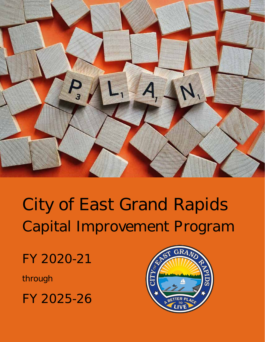

# City of East Grand Rapids Capital Improvement Program

FY 2020-21

through

FY 2025-26

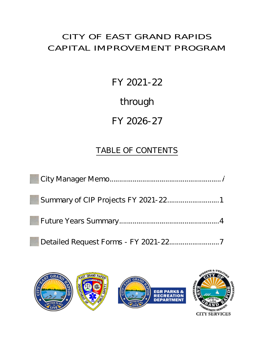## CITY OF EAST GRAND RAPIDS CAPITAL IMPROVEMENT PROGRAM

FY 2021-22

through

# FY 2026-27

# TABLE OF CONTENTS



**CITY SERVICES**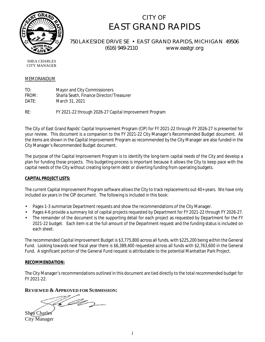

## CITY OF EAST GRAND RAPIDS

750 LAKESIDE DRIVE SE · EAST GRAND RAPIDS, MICHIGAN 49506 (616) 949-2110 www.eastgr.org

SHEA CHARLES CITY MANAGER

### MEMORANDUM

TO: Mayor and City Commissioners FROM: Sharla Seath, Finance Director/Treasurer DATE: March 31, 2021

RE: FY 2021-22 through 2026-27 Capital Improvement Program

The City of East Grand Rapids' Capital Improvement Program (CIP) for FY 2021-22 through FY 2026-27 is presented for your review. This document is a companion to the FY 2021-22 City Manager's Recommended Budget document. All the items are shown in the Capital Improvement Program as recommended by the City Manager are also funded in the City Manager's Recommended Budget document.

The purpose of the Capital Improvement Program is to identify the long-term capital needs of the City and develop a plan for funding those projects. This budgeting process is important because it allows the City to keep pace with the capital needs of the City without creating long-term debt or diverting funding from operating budgets.

### **CAPITAL PROJECT LISTS:**

The current Capital Improvement Program software allows the City to track replacements out 40+ years. We have only included six years in the CIP document. The following is included in this book:

- Pages 1-3 summarize Department requests and show the recommendations of the City Manager.
- Pages 4-6 provide a summary list of capital projects requested by Department for FY 2021-22 through FY 2026-27.
- The remainder of the document is the supporting detail for each project as requested by Department for the FY 2021-22 budget. Each item is at the full amount of the Department request and the funding status is included on each sheet.

The recommended Capital Improvement Budget is \$3,775,800 across all funds, with \$225,200 being within the General Fund. Looking towards next fiscal year there is \$6,389,400 requested across all funds with \$2,763,600 in the General Fund. A significant portion of the General Fund request is attributable to the potential Manhattan Park Project.

### **RECOMMENDATION:**

The City Manager's recommendations outlined in this document are tied directly to the total recommended budget for FY 2021-22.

### **REVIEWED & APPROVED FOR SUBMISSION:**

'Ar

Shea Charles City Manager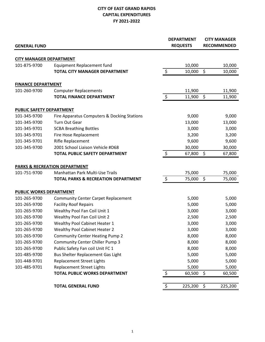### **CITY OF EAST GRAND RAPIDS CAPITAL EXPENDITURES FY 2021-2022**

| <b>GENERAL FUND</b>                            |                                                |                | <b>DEPARTMENT</b><br><b>REQUESTS</b> |                    | <b>CITY MANAGER</b><br><b>RECOMMENDED</b> |
|------------------------------------------------|------------------------------------------------|----------------|--------------------------------------|--------------------|-------------------------------------------|
|                                                |                                                |                |                                      |                    |                                           |
| <b>CITY MANAGER DEPARTMENT</b><br>101-875-9700 | Equipment Replacement fund                     |                | 10,000                               |                    | 10,000                                    |
|                                                | <b>TOTAL CITY MANAGER DEPARTMENT</b>           | $\zeta$        | 10,000                               | $\zeta$            | 10,000                                    |
|                                                |                                                |                |                                      |                    |                                           |
| <b>FINANCE DEPARTMENT</b>                      |                                                |                |                                      |                    |                                           |
| 101-260-9700                                   | <b>Computer Replacements</b>                   |                | 11,900                               |                    | 11,900                                    |
|                                                | <b>TOTAL FINANCE DEPARTMENT</b>                | $\ddot{\phi}$  | 11,900                               | $\ddot{\varsigma}$ | 11,900                                    |
| PUBLIC SAFETY DEPARTMENT                       |                                                |                |                                      |                    |                                           |
| 101-345-9700                                   | Fire Apparatus Computers & Docking Stations    |                | 9,000                                |                    | 9,000                                     |
| 101-345-9700                                   | <b>Turn Out Gear</b>                           |                | 13,000                               |                    | 13,000                                    |
| 101-345-9701                                   | <b>SCBA Breathing Bottles</b>                  |                | 3,000                                |                    | 3,000                                     |
| 101-345-9701                                   | Fire Hose Replacement                          |                | 3,200                                |                    | 3,200                                     |
| 101-345-9701                                   | Rifle Replacement                              |                | 9,600                                |                    | 9,600                                     |
| 101-345-9700                                   | 2001 School Liaison Vehicle #D68               |                | 30,000                               |                    | 30,000                                    |
|                                                | <b>TOTAL PUBLIC SAFETY DEPARTMENT</b>          | $\ddot{\zeta}$ | 67,800                               | $\zeta$            | 67,800                                    |
|                                                | <b>PARKS &amp; RECREATION DEPARTMENT</b>       |                |                                      |                    |                                           |
| 101-751-9700                                   | Manhattan Park Multi-Use Trails                |                | 75,000                               |                    | 75,000                                    |
|                                                | <b>TOTAL PARKS &amp; RECREATION DEPARTMENT</b> | $\ddot{\phi}$  | 75,000 \$                            |                    | 75,000                                    |
| PUBLIC WORKS DEPARTMENT                        |                                                |                |                                      |                    |                                           |
| 101-265-9700                                   | <b>Community Center Carpet Replacement</b>     |                | 5,000                                |                    | 5,000                                     |
| 101-265-9700                                   | <b>Facility Roof Repairs</b>                   |                | 5,000                                |                    | 5,000                                     |
| 101-265-9700                                   | Wealthy Pool Fan Coil Unit 1                   |                | 3,000                                |                    | 3,000                                     |
| 101-265-9700                                   | Wealthy Pool Fan Coil Unit 2                   |                | 2,500                                |                    | 2,500                                     |
| 101-265-9700                                   | Wealthy Pool Cabinet Heater 1                  |                | 3,000                                |                    | 3,000                                     |
| 101-265-9700                                   | <b>Wealthy Pool Cabinet Heater 2</b>           |                | 3,000                                |                    | 3,000                                     |
| 101-265-9700                                   | <b>Community Center Heating Pump 2</b>         |                | 8,000                                |                    | 8,000                                     |
| 101-265-9700                                   | <b>Community Center Chiller Pump 3</b>         |                | 8,000                                |                    | 8,000                                     |
| 101-265-9700                                   | Public Safety Fan coil Unit FC 1               |                | 8,000                                |                    | 8,000                                     |
| 101-485-9700                                   | Bus Shelter Replacement Gas Light              |                | 5,000                                |                    | 5,000                                     |
| 101-448-9701                                   | <b>Replacement Street Lights</b>               |                | 5,000                                |                    | 5,000                                     |
| 101-485-9701                                   | <b>Replacement Street Lights</b>               |                | 5,000                                |                    | 5,000                                     |
|                                                | TOTAL PUBLIC WORKS DEPARTMENT                  | \$             | 60,500                               | \$                 | 60,500                                    |
|                                                | <b>TOTAL GENERAL FUND</b>                      | \$             | 225,200                              | \$                 | 225,200                                   |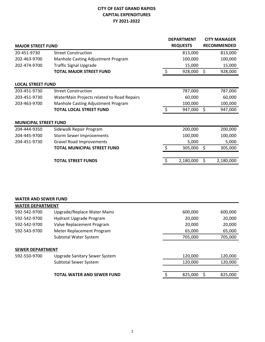### **CITY OF EAST GRAND RAPIDS CAPITAL EXPENDITURES FY 2021-2022**

|                              |                                            |    | <b>DEPARTMENT</b> |    | <b>CITY MANAGER</b> |
|------------------------------|--------------------------------------------|----|-------------------|----|---------------------|
| <b>MAJOR STREET FUND</b>     |                                            |    | <b>REQUESTS</b>   |    | <b>RECOMMENDED</b>  |
| 20-451-9730                  | <b>Street Construction</b>                 |    | 813,000           |    | 813,000             |
| 202-463-9700                 | Manhole Casting Adjustment Program         |    | 100,000           |    | 100,000             |
| 202-474-9700                 | <b>Traffic Signal Upgrade</b>              |    | 15,000            |    | 15,000              |
|                              | <b>TOTAL MAJOR STREET FUND</b>             | \$ | 928,000           | \$ | 928,000             |
| <b>LOCAL STREET FUND</b>     |                                            |    |                   |    |                     |
| 203-451-9730                 | <b>Street Construction</b>                 |    | 787,000           |    | 787,000             |
| 203-451-9730                 | WaterMain Projects related to Road Repairs |    | 60,000            |    | 60,000              |
| 203-463-9700                 | Manhole Casting Adjustment Program         |    | 100,000           |    | 100,000             |
|                              | <b>TOTAL LOCAL STREET FUND</b>             | \$ | 947,000           | \$ | 947,000             |
| <b>MUNICIPAL STREET FUND</b> |                                            |    |                   |    |                     |
| 204-444-9350                 | Sidewalk Repair Program                    |    | 200,000           |    | 200,000             |
| 204-445-9700                 | <b>Storm Sewer Improvements</b>            |    | 100,000           |    | 100,000             |
| 204-451-9730                 | <b>Gravel Road Improvements</b>            |    | 5,000             |    | 5,000               |
|                              | <b>TOTAL MUNICIPAL STREET FUND</b>         | Ś  | 305,000           | Ś  | 305,000             |
|                              |                                            |    |                   |    |                     |
|                              | <b>TOTAL STREET FUNDS</b>                  |    | 2,180,000         | \$ | 2,180,000           |

### **WATER AND SEWER FUND**

| <b>WATER DEPARTMENT</b> |                                   |         |         |
|-------------------------|-----------------------------------|---------|---------|
| 592-542-9700            | Upgrade/Replace Water Mains       | 600,000 | 600,000 |
| 592-542-9700            | Hydrant Upgrade Program           | 20,000  | 20,000  |
| 592-542-9700            | Valve Replacement Program         | 20,000  | 20,000  |
| 592-543-9700            | Meter Replacement Program         | 65,000  | 65,000  |
|                         | Subtotal Water System             | 705,000 | 705,000 |
|                         |                                   |         |         |
| <b>SEWER DEPARTMENT</b> |                                   |         |         |
| 592-550-9700            | Upgrade Sanitary Sewer System     | 120,000 | 120,000 |
|                         | Subtotal Sewer System             | 120,000 | 120,000 |
|                         |                                   |         |         |
|                         | <b>TOTAL WATER AND SEWER FUND</b> | 825,000 | 825,000 |
|                         |                                   |         |         |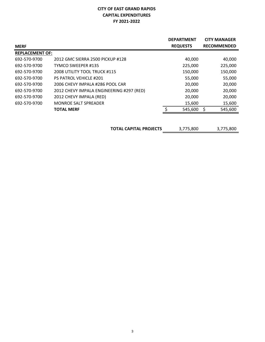### **CITY OF EAST GRAND RAPIDS CAPITAL EXPENDITURES FY 2021-2022**

|                        |                                          | <b>DEPARTMENT</b> | <b>CITY MANAGER</b> |
|------------------------|------------------------------------------|-------------------|---------------------|
| <b>MERF</b>            |                                          | <b>REQUESTS</b>   | <b>RECOMMENDED</b>  |
| <b>REPLACEMENT OF:</b> |                                          |                   |                     |
| 692-570-9700           | 2012 GMC SIERRA 2500 PICKUP #128         | 40,000            | 40,000              |
| 692-570-9700           | TYMCO SWEEPER #135                       | 225,000           | 225,000             |
| 692-570-9700           | 2008 UTILITY TOOL TRUCK #115             | 150,000           | 150,000             |
| 692-570-9700           | <b>PS PATROL VEHICLE #201</b>            | 55,000            | 55,000              |
| 692-570-9700           | 2006 CHEVY IMPALA #286 POOL CAR          | 20,000            | 20,000              |
| 692-570-9700           | 2012 CHEVY IMPALA ENGINEERING #297 (RED) | 20,000            | 20,000              |
| 692-570-9700           | 2012 CHEVY IMPALA (RED)                  | 20,000            | 20,000              |
| 692-570-9700           | <b>MONROE SALT SPREADER</b>              | 15,600            | 15,600              |
|                        | <b>TOTAL MERF</b>                        | 545,600           | 545,600             |
|                        |                                          |                   |                     |

**TOTAL CAPITAL PROJECTS** 3,775,800 3,775,800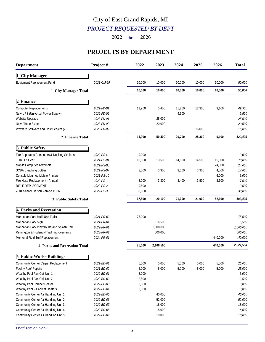## *PROJECT REQUESTED BY DEPT* City of East Grand Rapids, MI

2022 thru 2026

## **PROJECTS BY DEPARTMENT**

| <b>Department</b>                                                                                                                                                                                                                     | Project#                                                                         | 2022                                               | 2023                                 | 2024            | 2025           | 2026             | <b>Total</b>                                         |
|---------------------------------------------------------------------------------------------------------------------------------------------------------------------------------------------------------------------------------------|----------------------------------------------------------------------------------|----------------------------------------------------|--------------------------------------|-----------------|----------------|------------------|------------------------------------------------------|
| 1 City Manager                                                                                                                                                                                                                        |                                                                                  |                                                    |                                      |                 |                |                  |                                                      |
| Equipment Replacement Fund                                                                                                                                                                                                            | 2021-CM-99                                                                       | 10,000                                             | 10,000                               | 10,000          | 10,000         | 10,000           | 50,000                                               |
| 1 City Manager Total                                                                                                                                                                                                                  |                                                                                  | 10,000                                             | 10,000                               | 10,000          | 10,000         | 10,000           | 50,000                                               |
| 2 Finance                                                                                                                                                                                                                             |                                                                                  |                                                    |                                      |                 |                |                  |                                                      |
| <b>Computer Replacements</b><br>New UPS (Universal Power Supply)<br>Website Upgrade                                                                                                                                                   | 2021-FD-01<br>2022-FD-02<br>2023-FD-01                                           | 11,900                                             | 5,400<br>25,000                      | 11,200<br>9,500 | 12,300         | 9,100            | 49,900<br>9,500<br>25,000                            |
| New Phone System<br>VMWare Software and Host Servers (2)                                                                                                                                                                              | 2023-FD-02<br>2025-FD-02                                                         |                                                    | 20,000                               |                 | 16,000         |                  | 20,000<br>16,000                                     |
| 2 Finance Total                                                                                                                                                                                                                       |                                                                                  | 11,900                                             | 50,400                               | 20,700          | 28,300         | 9,100            | 120,400                                              |
| 3 Public Safety                                                                                                                                                                                                                       |                                                                                  |                                                    |                                      |                 |                |                  |                                                      |
| Fire Apparatus Computers & Docking Stations<br>Turn Out Gear<br>Mobile Computer Terminals                                                                                                                                             | 2020-PS-6<br>2021-PS-01<br>2021-PS-05                                            | 9,000<br>13,000                                    | 13,500                               | 14,000          | 14,500         | 15,000<br>24,000 | 9,000<br>70,000<br>24,000                            |
| <b>SCBA Breathing Bottles</b><br>Console Mounted Mobile Printers                                                                                                                                                                      | 2021-PS-07<br>2021-PS-10                                                         | 3,000                                              | 3,300                                | 3,600           | 3,900          | 4,000<br>6,000   | 17,800<br>6,000                                      |
| Fire Hose Replacement - Annual<br>RIFLE REPLACEMENT<br>2001 School Liaison Vehicle #D268                                                                                                                                              | 2022-PS-1<br>2022-PS-2<br>2022-PS-3                                              | 3,200<br>9,600<br>30,000                           | 3,300                                | 3,400           | 3,500          | 3,600            | 17,000<br>9,600<br>30,000                            |
| 3 Public Safety Total                                                                                                                                                                                                                 |                                                                                  | 67,800                                             | 20,100                               | 21,000          | 21,900         | 52,600           | 183,400                                              |
| 4 Parks and Recreation                                                                                                                                                                                                                |                                                                                  |                                                    |                                      |                 |                |                  |                                                      |
| Manhattan Park Multi-Use Trails<br>Manhattan Park Sign<br>Manhattan Park Playground and Splash Pad<br>Remington & Hodenpyl Trail Improvements<br>Memorial Field Turf Replacement                                                      | 2021-PR-02<br>2021-PR-04<br>2022-PR-01<br>2023-PR-02<br>2024-PR-01               | 75,000                                             | 6,500<br>1,600,000<br>500,000        |                 |                | 440,000          | 75,000<br>6,500<br>1,600,000<br>500,000<br>440,000   |
| <b>4 Parks and Recreation Total</b>                                                                                                                                                                                                   |                                                                                  | 75,000                                             | 2,106,500                            |                 |                | 440,000          | 2,621,500                                            |
| <b>5 Public Works-Buildings</b>                                                                                                                                                                                                       |                                                                                  |                                                    |                                      |                 |                |                  |                                                      |
| Community Center Carpet Replacement<br>Facility Roof Repairs<br>Wealthy Pool Fan Coil Unit 1<br>Wealthy Pool Fan Coil Unit 2<br>Wealthy Pool Cabinet Heater<br>Wealthy Pool 2 Cabinet Heaters<br>Community Center Air Handling Unit 1 | 2021-BD-01<br>2021-BD-02<br>2022-BD-01<br>2022-BD-02<br>2022-BD-03<br>2022-BD-04 | 5,000<br>5,000<br>3,000<br>2,500<br>3,000<br>3,000 | 5,000<br>5,000<br>40,000             | 5,000<br>5,000  | 5,000<br>5,000 | 5,000<br>5,000   | 25,000<br>25,000<br>3,000<br>2,500<br>3,000<br>3,000 |
| Community Center Air Handling Unit 2<br>Community Center Air Handling Unit 3<br>Community Center Air Handling Unit 4<br>Community Center Air Handling Unit 5                                                                          | 2022-BD-05<br>2022-BD-06<br>2022-BD-07<br>2022-BD-08<br>2022-BD-09               |                                                    | 52,000<br>18,000<br>18,000<br>18,000 |                 |                |                  | 40,000<br>52,000<br>18,000<br>18,000<br>18,000       |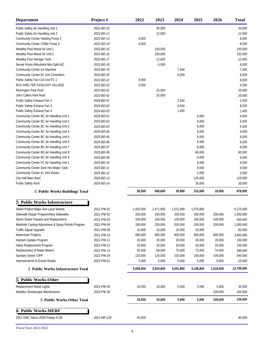| <b>Department</b>                                | Project #   | 2022      | 2023      | 2024      | 2025      | 2026      | <b>Total</b> |
|--------------------------------------------------|-------------|-----------|-----------|-----------|-----------|-----------|--------------|
| Public Safety Air Handling Unit 1                | 2022-BD-10  |           | 30,000    |           |           |           | 30,000       |
| Public Safety Air Handling Unit 2                | 2022-BD-11  |           | 12,000    |           |           |           | 12,000       |
| Community Center Heating Pump 2                  | 2022-BD-13  | 8,000     |           |           |           |           | 8,000        |
| Community Center Chiller Pump 3                  | 2022-BD-14  | 8,000     |           |           |           |           | 8,000        |
| Wealthy Pool Mixed Air Unit 1                    | 2022-BD-15  |           | 150,000   |           |           |           | 150,000      |
| Wealthy Pool Mixed Air Unit 2                    | 2022-BD-16  |           | 150,000   |           |           |           | 150,000      |
| Wealthy Pool Storage Tank                        | 2022-BD-17  |           | 12,600    |           |           |           | 12,600       |
| Server Room Mitsubishi Mini Split A/C            | 2022-BD-18  |           | 6,000     |           |           |           | 6,000        |
| Community Center Ice Machine                     | 2022-BD-19  |           |           | 7,500     |           |           | 7,500        |
| Community Center 61 Unit Controllers             | 2022-BD-20  |           |           | 6,000     |           |           | 6,000        |
| Public Safety Fan Coil Unit FC 1                 | 2022-BD-21  | 8,000     |           |           |           |           | 8,000        |
| BUS SHELTER GASLIGHT VILLAGE                     | 2022-BD-23  | 5,000     |           |           |           |           | 5,000        |
| Remington Park Roof                              | 2023-BD-01  |           | 25,000    |           |           |           | 25,000       |
| John Collins Park Roof                           | 2023-BD-02  |           | 25,000    |           |           |           | 25,000       |
| Public Safety Exhaust Fan 2                      | 2024-BD-01  |           |           | 2,500     |           |           | 2,500        |
| Public Safety Exhaust Fan 3                      | 2024-BD-02  |           |           | 8,500     |           |           | 8,500        |
| Public Safety Exhaust Fan 4                      | 2024-BD-03  |           |           | 1,400     |           |           | 1,400        |
| Community Center BC Air Handling Unit 1          | 2025-BD-01  |           |           |           | 6,000     |           | 6,000        |
| Community Center BC Air Handling Unit 2          | 2025-BD-02  |           |           |           | 6,000     |           | 6,000        |
| Community Center BC Air Handling Unit 3          | 2025-BD-03  |           |           |           | 6,000     |           | 6,000        |
| Community Center BC Air Handling Unit 4          | 2025-BD-04  |           |           |           | 6,000     |           | 6,000        |
| Community Center BC Air Handling Unit 5          | 2025-BD-05  |           |           |           | 6,000     |           | 6,000        |
| Community Center BC Air Handling Unit 6          | 2025-BD-06  |           |           |           | 6,000     |           | 6,000        |
| Community Center BC Air Handling Unit 7          | 2025-BD-07  |           |           |           | 6,000     |           | 6,000        |
| Community Center BD Air Handling Unit 8          | 2025-BD-08  |           |           |           | 80,000    |           | 80,000       |
| Community Center BC Air Handling Unit 9          | 2025-BD-09  |           |           |           | 6,000     |           | 6,000        |
| Community Center FC Air Handling Unit 1          | 2025-BD-10  |           |           |           | 6,000     |           | 6,000        |
| Community Center Dom Hot Water Tank              | 2025-BD-11  |           |           |           | 9,500     |           | 9,500        |
| Community Center 41 VAV Boxes                    | 2025-BD-12  |           |           |           | 2,000     |           | 2,000        |
| City Hall Main Roof                              | 2025-BD-13  |           |           |           | 125,000   |           | 125,000      |
| Public Safety Roof                               | 2025-BD-14  |           |           |           | 35,000    |           | 35,000       |
| 5 Public Works-Buildings Total                   |             | 50,500    | 566,600   | 35,900    | 315,500   | 10,000    | 978,500      |
| <b>Public Works-Infastructure</b><br>15          |             |           |           |           |           |           |              |
| Street Project-Major and Local Streets           | 2021-PW-01  | 1,600,000 | 1,471,800 | 1,521,800 | 1,576,800 |           | 6,170,400    |
| Sidewalk Repair Program/New Sidewalks            | 2021-PW-02  | 200,000   | 200,000   | 200,000   | 200,000   | 200,000   | 1,000,000    |
| Storm Sewer Repairs and Replacement              | 2021-PW-03  | 100,000   | 100,000   | 100,000   | 100,000   | 100,000   | 500,000      |
| Manhole Casting Adjustment & Spray Rehab Program | 2021-PW-04  | 200,000   | 200,000   | 200,000   | 200,000   | 200,000   | 1,000,000    |
| Traffic Signal Upgrade                           | 2021-PW-06  | 15,000    | 15,000    | 15,000    | 15,000    |           | 60,000       |
| Watermain Projects                               | 2021-PW-10  | 660,000   | 800,000   | 800,000   | 800,000   | 800,000   | 3,860,000    |
| Hydrant Update Program                           | 2021-PW-11  | 20,000    | 20,000    | 20,000    | 20,000    | 20,000    | 100,000      |
| Valve Replacement Program                        | 2021-PW-12  | 20,000    | 20,000    | 20,000    | 20,000    | 20,000    | 100,000      |
| Replacement of Water Meters                      | 2021-PW-13  | 65,000    | 68,000    | 70,000    | 72,000    | 74,000    | 349,000      |
| Sanitary Sewer CIPP                              | 2021-PW-20  | 120,000   | 125,000   | 100,000   | 100,000   | 100,000   | 545,000      |
| Improvements to Gravel Roads                     | 2022-PW-01  | 5,000     | 5,000     | 5,000     | 5,000     | 5,000     | 25,000       |
|                                                  |             | 3,005,000 | 3,024,800 | 3,051,800 | 3,108,800 | 1,519,000 | 13,709,400   |
| 5 Public Works-Infastructure Total               |             |           |           |           |           |           |              |
| 5<br><b>Public Works-Other</b>                   |             |           |           |           |           |           |              |
| Replacement Street Lights                        | 2021-PW-30  | 10,000    | 10,000    | 5,000     | 5,000     | 5,000     | 35,000       |
| Wealthy Streetscape Maintenance                  | 2022-PW-30  |           |           |           |           | 100,000   | 100,000      |
| 5 Public Works-Other Total                       |             | 10,000    | 10,000    | 5,000     | 5,000     | 105,000   | 135,000      |
| <b>6 Public Works-MERF</b>                       |             |           |           |           |           |           |              |
| 2012 GMC Sierra 2500 Pickup #128                 | 2021-MP-128 | 40,000    |           |           |           |           | 40,000       |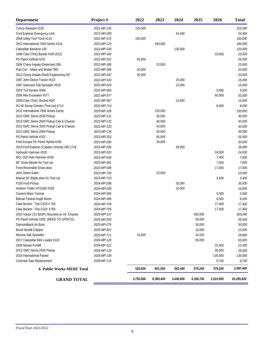| <b>Department</b>                             | Project#    | 2022      | 2023      | 2024      | 2025      | 2026      | <b>Total</b> |
|-----------------------------------------------|-------------|-----------|-----------|-----------|-----------|-----------|--------------|
| Tymco Sweeper #135                            | 2021-MP-135 | 225,000   |           |           |           |           | 225,000      |
| Ford Explorer Emergency Unit                  | 2021-MP-299 |           |           | 54,400    |           |           | 54,400       |
| 2008 Utility-Tool Truck #115                  | 2022-MP-115 | 150,000   |           |           |           |           | 150,000      |
| 2012 International 7000 Series #124           | 2022-MP-124 |           | 180,000   |           |           |           | 180,000      |
| Caterpillar Backhoe 130                       | 2022-MP-130 |           |           | 120,000   |           |           | 120,000      |
| 1999 Claw (Tink) Bucket #160 (512)            | 2022-MP-160 |           |           |           |           | 15,000    | 15,000       |
| PS Patrol Vehicle #201                        | 2022-MP-201 | 55,000    |           |           |           |           | 55,000       |
| 2006 Chevy Impala (Detective) 285             | 2022-MP-285 |           | 23,000    |           |           |           | 23,000       |
| Pool Car - Make and Model TBD                 | 2022-MP-286 | 20,000    |           |           |           |           | 20,000       |
| 2012 Chevy Impala (Red) Engineering 297       | 2022-MP-297 | 20,000    |           |           |           |           | 20,000       |
| 1997 John Deere Tractor #510                  | 2022-MP-510 |           |           | 25,000    |           |           | 25,000       |
| 1997 Swenson Salt Spreader #519               | 2022-MP-519 |           |           | 15,000    |           |           | 15,000       |
| 2000 Turf Aerator #566                        | 2022-MP-566 |           |           |           |           | 5,000     | 5,000        |
| 2008 Mini Excavator #577                      | 2022-MP-577 |           |           |           |           | 50,000    | 50,000       |
| 2009 Claw (Tink) Bucket #587                  | 2022-MP-587 |           |           | 15,000    |           |           | 15,000       |
| 5G 60 Stump Grinder (Tool cat) #714           | 2022-MP-714 |           |           |           |           | 8,000     | 8,000        |
| 2012 International 7000 Series Dump           | 2023-MP-126 |           | 150,000   |           |           |           | 150,000      |
| 2013 GMC Sierra 2500 Pickup                   | 2023-MP-131 |           | 30,000    |           |           |           | 30,000       |
| 2013 GMC Sierra 3500 Pickup Cab & Chassis     | 2023-MP-132 |           | 40,000    |           |           |           | 40,000       |
| 2013 GMC Sierra 3500 Pickup Cab & Chassis     | 2023-MP-133 |           | 40,000    |           |           |           | 40,000       |
| 2013 GMC Sierra 2500 Pickup                   | 2023-MP-134 |           | 30,000    |           |           |           | 30,000       |
| PS Patrol Vehicle #202                        | 2023-MP-202 |           | 55,000    |           |           |           | 55,000       |
| Ford Escape PS Patrol Hybrid #290             | 2023-MP-290 |           | 30,000    |           |           |           | 30,000       |
| 2018 Ford Explorer (Capitan Vehicle) 295.1718 | 2023-MP-295 |           |           | 28,000    |           |           | 28,000       |
| Hydraulic Hammer #520                         | 2023-MP-520 |           |           |           |           | 24,000    | 24,000       |
| MCL-310 Hole Hammer #538                      | 2023-MP-538 |           |           |           |           | 7,400     | 7,400        |
| 60" Snow Blower for Tool cat                  | 2023-MP-581 |           |           |           |           | 7,000     | 7,000        |
| Front Reversible Snow plow                    | 2023-MP-588 |           |           |           |           | 17,000    | 17,000       |
| John Deere Gator                              | 2023-MP-709 |           | 23,000    |           |           |           | 23,000       |
| Bobcat 54" Blade plow for Tool cat            | 2023-MP-710 |           |           |           |           | 3,400     | 3,400        |
| F250 Ford Pickup                              | 2024-MP-288 |           |           | 35,000    |           |           | 35,000       |
| Hudson Trailer HTD18D #528                    | 2024-MP-528 |           |           | 10,000    |           |           | 10,000       |
| Cement Mixer Toolcat                          | 2024-MP-585 |           |           |           |           | 5,000     | 5,000        |
| Bobcat Toolcat Angle Boom                     | 2024-MP-586 |           |           |           |           | 6,500     | 6,500        |
| Claw Bucket - Tink C520 # 704                 | 2024-MP-704 |           |           |           |           | 17,400    | 17,400       |
| Claw Bucket - Tink C520 #705                  | 2024-MP-705 |           |           |           |           | 17,400    | 17,400       |
| 2015 Vactor 211-824PL Mounted on Int. Chassis | 2025-MP-137 |           |           |           | 500,000   |           | 500,000      |
| PS Patrol Vehicle #200 (NEED TO UPDATE)       | 2025-MP-200 |           |           |           | 55,000    |           | 55,000       |
| Diamondback Air Boat                          | 2025-MP-276 |           |           |           | 30,000    |           | 30,000       |
| Brush Bandit Chipper                          | 2025-MP-507 |           |           |           | 15,000    |           | 15,000       |
| Monroe Salt Spreader                          | 2025-MP-711 | 15,600    |           |           | 14,200    |           | 29,800       |
| 2017 Caterpillar Mini Loader #120             | 2026-MP-120 |           |           |           | 65,000    |           | 65,000       |
| 2006 Nissan Forklift                          | 2026-MP-122 |           |           |           |           | 22,400    | 22,400       |
| 2012 GMC Sierra 2500 Pickup                   | 2026-MP-129 |           |           |           |           | 35,000    | 35,000       |
| 2016 International Packer                     | 2026-MP-139 |           |           |           |           | 130,000   | 130,000      |
| Concrete Saw Replacement                      | 2026-MP-715 |           |           |           |           | 8,700     | 8,700        |
| <b>6 Public Works-MERF Total</b>              |             | 525,600   | 601,000   | 302,400   | 679,200   | 379,200   | 2,487,400    |
|                                               |             |           |           |           |           |           |              |
| <b>GRAND TOTAL</b>                            |             | 3,755,800 | 6,389,400 | 3,446,800 | 4,168,700 | 2,524,900 | 20,285,600   |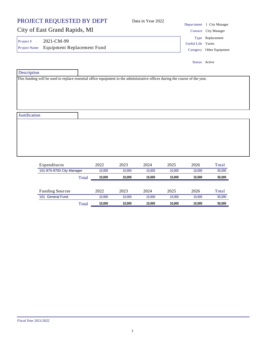|                          | PROJECT REQUESTED BY DEPT                       |      |      | Data in Year 2022 |      |                    | Department 1 City Manager                    |
|--------------------------|-------------------------------------------------|------|------|-------------------|------|--------------------|----------------------------------------------|
|                          | City of East Grand Rapids, MI                   |      |      |                   |      |                    | Contact City Manager                         |
| Project#<br>Project Name | 2021-CM-99<br><b>Equipment Replacement Fund</b> |      |      |                   |      | Useful Life Varies | Type Replacement<br>Category Other Equipment |
|                          |                                                 |      |      |                   |      |                    | Status Active                                |
| Description              |                                                 |      |      |                   |      |                    |                                              |
|                          |                                                 |      |      |                   |      |                    |                                              |
| Justification            |                                                 |      |      |                   |      |                    |                                              |
|                          |                                                 |      |      |                   |      |                    |                                              |
|                          | Expenditures                                    | 2022 | 2023 | 2024              | 2025 | 2026               | Total                                        |

| 101-875-9700 City Manager |       | 10.000 | 10.000 | 10.000 | 10.000 | 10.000 | 50,000 |
|---------------------------|-------|--------|--------|--------|--------|--------|--------|
|                           | Total | 10.000 | 10.000 | 10.000 | 10.000 | 10.000 | 50,000 |
|                           |       |        |        |        |        |        |        |
|                           |       |        |        |        |        |        |        |
| <b>Funding Sources</b>    |       | 2022   | 2023   | 2024   | 2025   | 2026   | Total  |
| 101<br>General Fund       |       | 10.000 | 10.000 | 10.000 | 10.000 | 10.000 | 50,000 |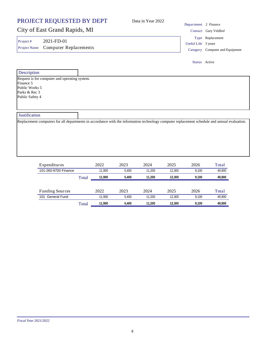| PROJECT REQUESTED BY DEPT                                                                                                                    | Data in Year 2022 | Department 2 Finance |                                 |
|----------------------------------------------------------------------------------------------------------------------------------------------|-------------------|----------------------|---------------------------------|
| City of East Grand Rapids, MI                                                                                                                |                   |                      |                                 |
|                                                                                                                                              |                   |                      | Contact Gary Veldhof            |
| 2021-FD-01<br>Project #                                                                                                                      |                   | Useful Life 3 years  | Type Replacement                |
| <b>Computer Replacements</b><br>Project Name                                                                                                 |                   |                      | Category Computer and Equipment |
|                                                                                                                                              |                   | Status Active        |                                 |
| Description                                                                                                                                  |                   |                      |                                 |
| Request is for computer and operating system.                                                                                                |                   |                      |                                 |
| Finance 5<br>Public Works 5                                                                                                                  |                   |                      |                                 |
| Parks & Rec 3                                                                                                                                |                   |                      |                                 |
| Public Safety 4                                                                                                                              |                   |                      |                                 |
|                                                                                                                                              |                   |                      |                                 |
| <b>Justification</b>                                                                                                                         |                   |                      |                                 |
| Replacement computers for all departments in accordance with the information technology computer replacement schedule and annual evaluation. |                   |                      |                                 |

| Expenditures           |       | 2022   | 2023  | 2024   | 2025   | 2026  | Total  |
|------------------------|-------|--------|-------|--------|--------|-------|--------|
| 101-260-9700 Finance   |       | 11.900 | 5.400 | 11.200 | 12.300 | 9.100 | 49,900 |
|                        | Total | 11.900 | 5.400 | 11.200 | 12.300 | 9.100 | 49,900 |
|                        |       |        |       |        |        |       |        |
| <b>Funding Sources</b> |       | 2022   | 2023  | 2024   | 2025   | 2026  | Total  |
| General Fund<br>101    |       | 11.900 | 5.400 | 11.200 | 12.300 | 9.100 | 49.900 |
|                        | Total | 1.900  | 5.400 | 11.200 | 12.300 | 9.100 | 49.900 |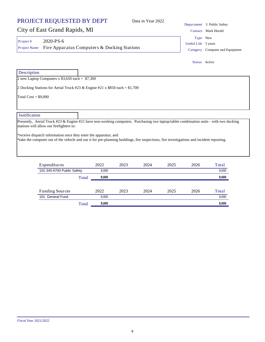## City of East Grand Rapids, MI

2 new Laptop Computers x  $$3,650$  each =  $$7,300$ 

**Description** 

| Project # | $2020-PS-6$                                              |
|-----------|----------------------------------------------------------|
|           | Project Name Fire Apparatus Computers & Docking Stations |

2 Docking Stations for Aerial Truck #23 & Engine #21 x \$850 each = \$1,700 Total  $Cost = $9,000$ **Justification** 

Presently, Aerial Truck #23 & Engine #21 have non-working computers. Purchasing two laptop/tablet combination units - with two docking stations will allow our firefighters to:

\*receive dispatch information once they enter the apparatus; and \*take the computer out of the vehicle and use it for pre-planning buildings, fire inspections, fire investigations and incident reporting.

| Expenditures               |       | 2022  | 2023 | 2024 | 2025 | 2026 | Total |
|----------------------------|-------|-------|------|------|------|------|-------|
| 101-345-9700 Public Safety |       | 9.000 |      |      |      |      | 9,000 |
|                            | Total | 9.000 |      |      |      |      | 9,000 |
|                            |       |       |      |      |      |      |       |
| <b>Funding Sources</b>     |       | 2022  | 2023 | 2024 | 2025 | 2026 | Total |
| General Fund<br>101        |       | 9.000 |      |      |      |      | 9,000 |
|                            | Total | 9.000 |      |      |      |      | 9.000 |

9

### Department 3 Public Safety Contact Mark Herald Useful Life 5 years Type New

Category Computer and Equipment

Status Active

Data in Year 2022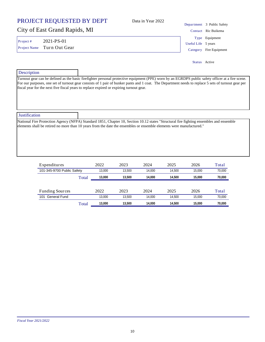|                     | PROJECT REQUESTED BY DEPT     |                                                                                         | Data in Year 2022                                                                                                                                                                                                                                                                                        | Department          | 3 Public Safety |
|---------------------|-------------------------------|-----------------------------------------------------------------------------------------|----------------------------------------------------------------------------------------------------------------------------------------------------------------------------------------------------------------------------------------------------------------------------------------------------------|---------------------|-----------------|
|                     | City of East Grand Rapids, MI |                                                                                         |                                                                                                                                                                                                                                                                                                          | Contact             | Ric Buikema     |
| Project #           | 2021-PS-01                    |                                                                                         |                                                                                                                                                                                                                                                                                                          |                     | Type Equipment  |
|                     |                               |                                                                                         |                                                                                                                                                                                                                                                                                                          | Useful Life 5 years |                 |
| <b>Project Name</b> | Turn Out Gear                 |                                                                                         |                                                                                                                                                                                                                                                                                                          | Category            | Fire Equipment  |
| Description         |                               |                                                                                         |                                                                                                                                                                                                                                                                                                          |                     | Status Active   |
|                     |                               | fiscal year for the next five fiscal years to replace expired or expiring turnout gear. | Turnout gear can be defined as the basic firefighter personal protective equipment (PPE) worn by an EGRDPS public safety officer at a fire scene.<br>For our purposes, one set of turnout gear consists of 1 pair of bunker pants and 1 coat. The Department needs to replace 5 sets of turnout gear per |                     |                 |

| <b>Justification</b> |                                                                                                                                         |
|----------------------|-----------------------------------------------------------------------------------------------------------------------------------------|
|                      | National Fire Protection Agency (NFPA) Standard 1851, Chapter 10, Section 10.12 states "Structural fire fighting ensembles and ensemble |
|                      | elements shall be retired no more than 10 years from the date the ensembles or ensemble elements were manufactured."                    |
|                      |                                                                                                                                         |
|                      |                                                                                                                                         |
|                      |                                                                                                                                         |
|                      |                                                                                                                                         |
|                      |                                                                                                                                         |

| Expenditures               |       | 2022   | 2023   | 2024   | 2025   | 2026   | Total  |
|----------------------------|-------|--------|--------|--------|--------|--------|--------|
| 101-345-9700 Public Safety |       | 3.000  | 13.500 | 14.000 | 14.500 | 15.000 | 70,000 |
|                            | Total | 13,000 | 13.500 | 14.000 | 14.500 | 15.000 | 70,000 |
|                            |       |        |        |        |        |        |        |
| <b>Funding Sources</b>     |       | 2022   | 2023   | 2024   | 2025   | 2026   | Total  |
| General Fund<br>101        |       | 13,000 | 13.500 | 14.000 | 14.500 | 15.000 | 70,000 |
|                            | Total | 13.000 | 13.500 | 14.000 | 14.500 | 15.000 | 70.000 |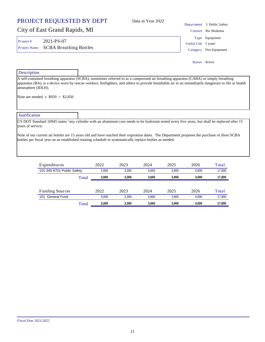|                     | PROJECT REQUESTED BY DEPT                                                                                                                                                                                                                                                                     | Data in Year 2022   |               |                                                   |
|---------------------|-----------------------------------------------------------------------------------------------------------------------------------------------------------------------------------------------------------------------------------------------------------------------------------------------|---------------------|---------------|---------------------------------------------------|
|                     | City of East Grand Rapids, MI                                                                                                                                                                                                                                                                 |                     |               | Department 3 Public Safety<br>Contact Ric Buikema |
|                     | 2021-PS-07                                                                                                                                                                                                                                                                                    |                     |               | Type Equipment                                    |
| Project#            |                                                                                                                                                                                                                                                                                               | Useful Life 5 years |               |                                                   |
| <b>Project Name</b> | <b>SCBA Breathing Bottles</b>                                                                                                                                                                                                                                                                 |                     |               | Category Fire Equipment                           |
|                     |                                                                                                                                                                                                                                                                                               |                     | Status Active |                                                   |
| Description         |                                                                                                                                                                                                                                                                                               |                     |               |                                                   |
| atmosphere (IDLH).  | A self-contained breathing apparatus (SCBA), sometimes referred to as a compressed air breathing apparatus (CABA) or simply breathing<br>apparatus (BA), is a device worn by rescue workers, firefighters, and others to provide breathable air in an immediately dangerous to life or health |                     |               |                                                   |

Nine are needed  $x$  \$950 = \$2,850

**Justification** 

US DOT Standard 10945 states "any cylinder with an aluminum core needs to be hydrostat tested every five years, but shall be replaced after 15 years of service:

Nine of our current air bottles are 15 years old and have reached their expiration dates. The Department proposes the purchase of three SCBA bottles per fiscal year on an established rotating schedule to systematically replace bottles as needed.

| Expenditures               |       | 2022  | 2023  | 2024  | 2025  | 2026  | Total  |
|----------------------------|-------|-------|-------|-------|-------|-------|--------|
| 101-345-9701 Public Safety |       | 3.000 | 3.300 | 3.600 | 3.900 | 4.000 | 17.800 |
|                            | Total | 3.000 | 3.300 | 3.600 | 3.900 | 4.000 | 17,800 |
|                            |       |       |       |       |       |       |        |
| <b>Funding Sources</b>     |       | 2022  | 2023  | 2024  | 2025  | 2026  | Total  |
| General Fund<br>101        |       | 3.000 | 3.300 | 3.600 | 3.900 | 4.000 | 17.800 |
|                            | Total | 3.000 | 3.300 | 3.600 | 3.900 | 4.000 | 17.800 |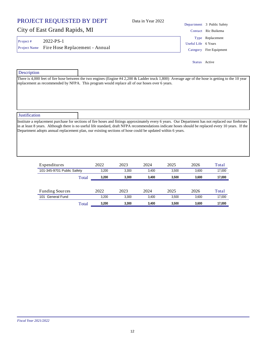12

## PROJECT REQUESTED BY DEPT

## City of East Grand Rapids, MI

Project # 2022-PS-1 Project Name Fire Hose Replacement - Annual Category Fire Equipment

Department 3 Public Safety Contact Ric Buikema Useful Life 6 Years Type Replacement

Status Active

**Description** 

There is 4,000 feet of fire hose between the two engines (Engine #4 2,200 & Ladder truck 1,800) Average age of the hose is getting to the 10 year replacement as recommended by NFPA. This program would replace all of our hoses over 6 years.

Data in Year 2022

**Justification** 

Institute a replacement purchase for sections of fire hoses and fittings approximately every 6 years. Our Department has not replaced our firehoses in at least 8 years. Although there is no useful life standard, draft NFPA recommendations indicate hoses should be replaced every 10 years. If the Department adopts annual replacement plan, our existing sections of hose could be updated within 6 years.

| Expenditures               |       | 2022  | 2023  | 2024  | 2025  | 2026  | Total  |
|----------------------------|-------|-------|-------|-------|-------|-------|--------|
| 101-345-9701 Public Safety |       | 3.200 | 3.300 | 3.400 | 3.500 | 3.600 | 17,000 |
|                            | Total | 3.200 | 3.300 | 3.400 | 3.500 | 3.600 | 17,000 |
|                            |       |       |       |       |       |       |        |
| <b>Funding Sources</b>     |       | 2022  | 2023  | 2024  | 2025  | 2026  | Total  |
| 101 General Fund           |       | 3.200 | 3.300 | 3.400 | 3.500 | 3.600 | 17,000 |
|                            | Total | 3.200 | 3.300 | 3.400 | 3.500 | 3.600 | 17.000 |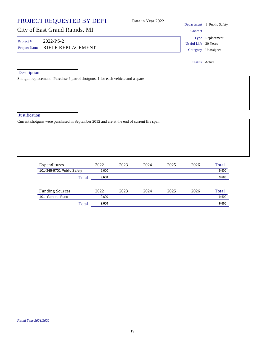| PROJECT REQUESTED BY DEPT                                                                                                                 |              |      | Data in Year 2022    | Department 3 Public Safety              |
|-------------------------------------------------------------------------------------------------------------------------------------------|--------------|------|----------------------|-----------------------------------------|
| City of East Grand Rapids, MI                                                                                                             |              |      | Contact              |                                         |
| 2022-PS-2<br>Project #<br>RIFLE REPLACEMENT<br>Project Name                                                                               |              |      | Useful Life 20 Years | Type Replacement<br>Category Unassigned |
|                                                                                                                                           |              |      |                      | Status Active                           |
| Description                                                                                                                               |              |      |                      |                                         |
|                                                                                                                                           |              |      |                      |                                         |
|                                                                                                                                           |              |      |                      |                                         |
|                                                                                                                                           |              |      |                      |                                         |
|                                                                                                                                           |              |      |                      |                                         |
| Expenditures                                                                                                                              | 2022<br>2023 | 2024 | 2025<br>2026         | Total                                   |
| Justification<br>Current shotguns were purchased in September 2012 and are at the end of current life span.<br>101-345-9701 Public Safety | 9,600        |      |                      | 9,600                                   |

Funding Sources 2022 2023 2024 2025 2026 Total **101 General Fund 9,600 9,600 9,600 9,600 9,600 9,600 9,600 9,600 9,600 9,600 9,600 9,600 9,600 9,600 9,600 9,600** Total **9,600 9,600**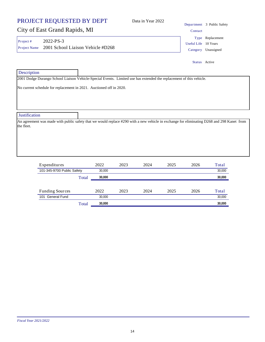| PROJECT REQUESTED BY DEPT<br>Data in Year 2022                      |                      |                                                                                                                                                                                                                                                                                                 |
|---------------------------------------------------------------------|----------------------|-------------------------------------------------------------------------------------------------------------------------------------------------------------------------------------------------------------------------------------------------------------------------------------------------|
|                                                                     | Contact              |                                                                                                                                                                                                                                                                                                 |
| 2001 School Liaison Vehicle #D268                                   | Useful Life 10 Years | Type Replacement<br>Category Unassigned                                                                                                                                                                                                                                                         |
|                                                                     | Status Active        |                                                                                                                                                                                                                                                                                                 |
| No current schedule for replacement in 2021. Auctioned off in 2020. |                      |                                                                                                                                                                                                                                                                                                 |
|                                                                     |                      |                                                                                                                                                                                                                                                                                                 |
|                                                                     |                      |                                                                                                                                                                                                                                                                                                 |
|                                                                     |                      | Department 3 Public Safety<br>2001 Dodge Durango School Liaison Vehicle-Special Events. Limited use has extended the replacement of this vehicle.<br>An agreement was made with public safety that we would replace #290 with a new vehicle in exchange for eliminating D268 and 298 Kanet from |

| Expenditures               |       | 2022   | 2023 | 2024 | 2025 | 2026 | Total  |
|----------------------------|-------|--------|------|------|------|------|--------|
| 101-345-9700 Public Safety |       | 30.000 |      |      |      |      | 30,000 |
|                            | Total | 30,000 |      |      |      |      | 30,000 |
|                            |       |        |      |      |      |      |        |
| <b>Funding Sources</b>     |       | 2022   | 2023 | 2024 | 2025 | 2026 | Total  |
| 101 General Fund           |       | 30.000 |      |      |      |      | 30,000 |
|                            |       | 30.000 |      |      |      |      | 30.000 |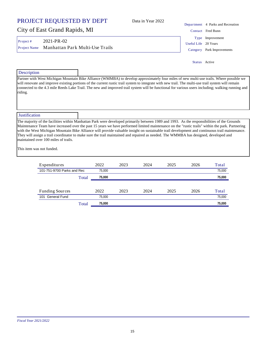| Data in Year 2022 |  |  |
|-------------------|--|--|
|-------------------|--|--|

## City of East Grand Rapids, MI

Project # 2021-PR-02 Project Name Manhattan Park Multi-Use Trails Category Park Improvements

Department 4 Parks and Recreation Contact Fred Bunn Useful Life 20 Years Type Improvement

Status Active

### **Description**

Partner with West Michigan Mountain Bike Alliance (WMMBA) to develop approximately four miles of new multi-use trails. Where possible we will renovate and improve existing portions of the current rustic trail system to integrate with new trail. The multi-use trail system will remain connected to the 4.3 mile Reeds Lake Trail. The new and improved trail system will be functional for various users including; walking running and riding.

### **Justification**

The majority of the facilities within Manhattan Park were developed primarily between 1989 and 1993. As the responsibilities of the Grounds Maintenance Team have increased over the past 15 years we have performed limited maintenance on the "rustic trails" within the park. Partnering with the West Michigan Mountain Bike Alliance will provide valuable insight on sustainable trail development and continuous trail maintenance. They will assign a trail coordinator to make sure the trail maintained and repaired as needed. The WMMBA has designed, developed and maintained over 100 miles of trails.

This item was not funded.

| Expenditures               |       | 2022   | 2023 | 2024 | 2025 | 2026 | Total  |
|----------------------------|-------|--------|------|------|------|------|--------|
| 101-751-9700 Parks and Rec |       | 75,000 |      |      |      |      | 75,000 |
|                            | Total | 75,000 |      |      |      |      | 75,000 |
|                            |       |        |      |      |      |      |        |
| <b>Funding Sources</b>     |       | 2022   | 2023 | 2024 | 2025 | 2026 | Total  |
| General Fund<br>101        |       | 75.000 |      |      |      |      | 75,000 |
|                            | Total | 75.000 |      |      |      |      | 75.000 |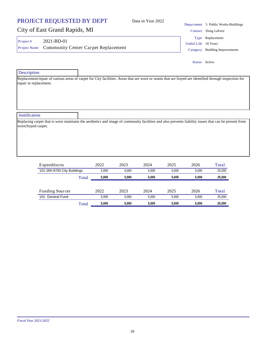## PROJECT REQUESTED BY DEPT City of East Grand Rapids, MI Department 5 Public Works-Buildings Data in Year 2022 Contact Doug LaFave **Description** Replacement/repair of various areas of carpet for City facilities. Areas that are worn or seams that are frayed are identified through inspection for repair or replacement. Project # 2021-BD-01 **Justification** Replacing carpet that is worn maintains the aesthetics and image of community facilities and also prevents liability issues that can be present from Useful Life 10 Years Project Name Community Center Carpet Replacement Category Building Improvements Type Replacement Status Active

| Expenditures                |       | 2022  | 2023  | 2024  | 2025  | 2026  | Total  |
|-----------------------------|-------|-------|-------|-------|-------|-------|--------|
| 101-265-9700 City Buildings |       | 5.000 | 5.000 | 5.000 | 5.000 | 5.000 | 25,000 |
|                             | Total | 5.000 | 5.000 | 5.000 | 5.000 | 5.000 | 25,000 |
|                             |       |       |       |       |       |       |        |
| <b>Funding Sources</b>      |       | 2022  | 2023  | 2024  | 2025  | 2026  | Total  |
| General Fund<br>101         |       | 5.000 | 5.000 | 5.000 | 5.000 | 5.000 | 25,000 |
|                             | Total | 5.000 | 5.000 | 5.000 | 5.000 | 5.000 | 25.000 |

worn/frayed carpet.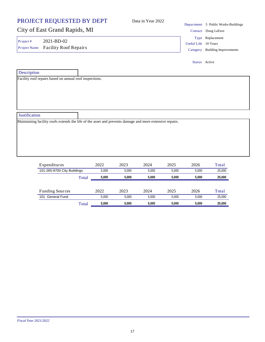|                           | PROJECT REQUESTED BY DEPT                               | Data in Year 2022                                                                                        |                      | Department 5 Public Works-Buildings                |
|---------------------------|---------------------------------------------------------|----------------------------------------------------------------------------------------------------------|----------------------|----------------------------------------------------|
|                           | City of East Grand Rapids, MI                           |                                                                                                          |                      | Contact Doug LaFave                                |
| Project #<br>Project Name | 2021-BD-02<br><b>Facility Roof Repairs</b>              |                                                                                                          | Useful Life 10 Years | Type Replacement<br>Category Building Improvements |
|                           |                                                         |                                                                                                          | Status Active        |                                                    |
| Description               |                                                         |                                                                                                          |                      |                                                    |
|                           | Facility roof repairs based on annual roof inspections. |                                                                                                          |                      |                                                    |
| Justification             |                                                         |                                                                                                          |                      |                                                    |
|                           |                                                         | Maintaining facility roofs extends the life of the asset and prevents damage and more extensive repairs. |                      |                                                    |

| Expenditures                |       | 2022  | 2023  | 2024  | 2025  | 2026  | Total  |
|-----------------------------|-------|-------|-------|-------|-------|-------|--------|
| 101-265-9700 City Buildings |       | 5.000 | 5.000 | 5.000 | 5.000 | 5.000 | 25,000 |
|                             | Total | 5.000 | 5.000 | 5.000 | 5.000 | 5.000 | 25.000 |
|                             |       |       |       |       |       |       |        |
| <b>Funding Sources</b>      |       | 2022  | 2023  | 2024  | 2025  | 2026  | Total  |
| General Fund<br>101         |       | 5.000 | 5.000 | 5.000 | 5.000 | 5.000 | 25,000 |
|                             | Total | 5.000 | 5.000 | 5.000 | 5.000 | 5.000 | 25.000 |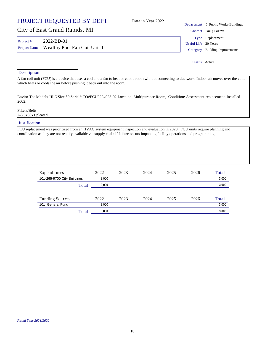## **Description** A fan coil unit (FCU) is a device that uses a coil and a fan to heat or cool a room without connecting to ductwork. Indoor air moves over the coil, which heats or cools the air before pushing it back out into the room. Enviro-Tec Model# HLE Size 50 Serial# CO#FCU0204023-02 Location: Multipurpose Room, Condition: Assessment-replacement, Installed 2002. Filters/Belts 2-8.5x30x1 pleated **Justification** Status Active

FCU replacement was prioritized from an HVAC system equipment inspection and evaluation in 2020. FCU units require planning and

coordination as they are not readily available via supply chain if failure occurs impacting facility operations and programming.

Data in Year 2022

| Expenditures                |       | 2022  | 2023 | 2024 | 2025 | 2026 | Total |
|-----------------------------|-------|-------|------|------|------|------|-------|
| 101-265-9700 City Buildings |       | 3,000 |      |      |      |      | 3,000 |
|                             | Total | 3,000 |      |      |      |      | 3,000 |
| <b>Funding Sources</b>      |       | 2022  | 2023 | 2024 | 2025 | 2026 | Total |
| 101 General Fund            |       | 3,000 |      |      |      |      | 3,000 |
|                             | Total | 3,000 |      |      |      |      | 3,000 |

### PROJECT REQUESTED BY DEPT

City of East Grand Rapids, MI

Project # 2022-BD-01

Department 5 Public Works-Buildings Contact Doug LaFave Useful Life 20 Years Project Name Wealthy Pool Fan Coil Unit 1 Category Building Improvements Type Replacement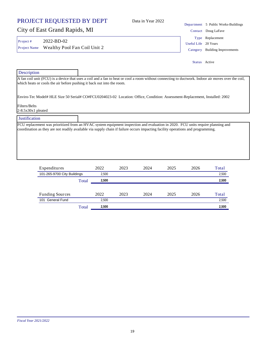| PROJECT REQUESTED BY DEPT             |                                            |                                                                        |      | Data in Year 2022 |                                                                                                                                                                                                                                                                     | Department 5 Public Works-Buildings                     |
|---------------------------------------|--------------------------------------------|------------------------------------------------------------------------|------|-------------------|---------------------------------------------------------------------------------------------------------------------------------------------------------------------------------------------------------------------------------------------------------------------|---------------------------------------------------------|
| City of East Grand Rapids, MI         |                                            |                                                                        |      |                   |                                                                                                                                                                                                                                                                     | Contact Doug LaFave                                     |
| Project#<br><b>Project Name</b>       | 2022-BD-02<br>Wealthy Pool Fan Coil Unit 2 |                                                                        |      |                   | Type<br><b>Useful Life</b><br>Category                                                                                                                                                                                                                              | Replacement<br>20 Years<br><b>Building Improvements</b> |
|                                       |                                            |                                                                        |      |                   |                                                                                                                                                                                                                                                                     | Status Active                                           |
| Description                           |                                            |                                                                        |      |                   |                                                                                                                                                                                                                                                                     |                                                         |
| Filters/Belts<br>$2-8.5x30x1$ pleated |                                            | which heats or cools the air before pushing it back out into the room. |      |                   | Enviro-Tec Model# HLE Size 50 Serial# CO#FCU0204023-02 Location: Office, Condition: Assessment-Replacement, Installed: 2002                                                                                                                                         |                                                         |
| <b>Justification</b>                  |                                            |                                                                        |      |                   |                                                                                                                                                                                                                                                                     |                                                         |
|                                       |                                            |                                                                        |      |                   | FCU replacement was prioritized from an HVAC system equipment inspection and evaluation in 2020. FCU units require planning and<br>coordination as they are not readily available via supply chain if failure occurs impacting facility operations and programming. |                                                         |
|                                       | Expenditures                               | 2022                                                                   | 2023 | 2024              | 2026<br>2025                                                                                                                                                                                                                                                        | Total                                                   |

| Expenditures                |       | 2022  | 2023 | 2024 | 2025 | 2026 | 1 otal |
|-----------------------------|-------|-------|------|------|------|------|--------|
| 101-265-9700 City Buildings |       | 2.500 |      |      |      |      | 2,500  |
|                             | Total | 2.500 |      |      |      |      | 2,500  |
|                             |       |       |      |      |      |      |        |
| <b>Funding Sources</b>      |       | 2022  | 2023 | 2024 | 2025 | 2026 | Total  |
| 101 General Fund            |       | 2.500 |      |      |      |      | 2,500  |
|                             | Total | 2.500 |      |      |      |      | 2,500  |
|                             |       |       |      |      |      |      |        |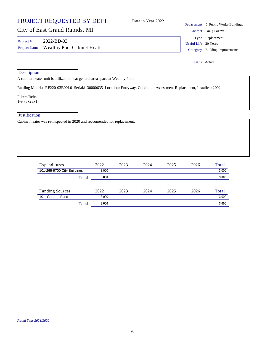### PROJECT REQUESTED BY DEPT City of East Grand Rapids, MI Department 5 Public Works-Buildings Data in Year 2022 Contact Doug LaFave **Description** A cabinet heater unit is utilized to heat general area space at Wealthy Pool. Project # 2022-BD-03 Useful Life 20 Years Project Name Wealthy Pool Cabinet Heater Category Building Improvements Type Replacement Status Active

Rattling Model# RF220-03B00L0 Serial# 30000635 Location: Entryway, Condition: Assessment Replacement, Installed: 2002.

Filters/Belts

1-9.75x28x1

### Justification

Cabinet heater was re-inspected in 2020 and reccomended for replacement.

| Expenditures                |       | 2022  | 2023 | 2024 | 2025 | 2026 | Total |
|-----------------------------|-------|-------|------|------|------|------|-------|
| 101-265-9700 City Buildings |       | 3.000 |      |      |      |      | 3,000 |
|                             | Total | 3.000 |      |      |      |      | 3,000 |
|                             |       |       |      |      |      |      |       |
| <b>Funding Sources</b>      |       | 2022  | 2023 | 2024 | 2025 | 2026 | Total |
| General Fund<br>101         |       | 3.000 |      |      |      |      | 3.000 |
|                             | Total | 3.000 |      |      |      |      | 3,000 |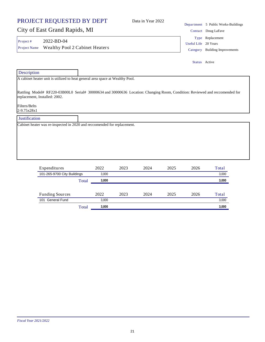| PROJECT REQUESTED BY DEPT                                                                                                                                                                                                                                                             | Data in Year 2022 |                      | Department 5 Public Works-Buildings                |
|---------------------------------------------------------------------------------------------------------------------------------------------------------------------------------------------------------------------------------------------------------------------------------------|-------------------|----------------------|----------------------------------------------------|
| City of East Grand Rapids, MI                                                                                                                                                                                                                                                         |                   |                      | Contact Doug LaFave                                |
| 2022-BD-04<br>Project#<br><b>Wealthy Pool 2 Cabinet Heaters</b><br>Project Name                                                                                                                                                                                                       |                   | Useful Life 20 Years | Type Replacement<br>Category Building Improvements |
|                                                                                                                                                                                                                                                                                       |                   |                      | Status Active                                      |
| Description                                                                                                                                                                                                                                                                           |                   |                      |                                                    |
| A cabinet heater unit is utilized to heat general area space at Wealthy Pool.<br>Rattling Model# RF220-03B00L0 Serial# 30000634 and 30000636 Location: Changing Room, Condition: Reviewed and reccomended for<br>replacement, Installed: 2002.<br><b>Filters/Belts</b><br>2-9.75x28x1 |                   |                      |                                                    |
| Justification                                                                                                                                                                                                                                                                         |                   |                      |                                                    |
| Cabinet heater was re-inspected in 2020 and reccomended for replacement.                                                                                                                                                                                                              |                   |                      |                                                    |

| Expenditures                |       | 2022  | 2023 | 2024 | 2025 | 2026 | Total |
|-----------------------------|-------|-------|------|------|------|------|-------|
| 101-265-9700 City Buildings |       | 3.000 |      |      |      |      | 3,000 |
|                             | Total | 3.000 |      |      |      |      | 3,000 |
|                             |       |       |      |      |      |      |       |
| <b>Funding Sources</b>      |       | 2022  | 2023 | 2024 | 2025 | 2026 | Total |
| 101 General Fund            |       | 3.000 |      |      |      |      | 3,000 |
|                             | Total | 3,000 |      |      |      |      | 3,000 |
|                             |       |       |      |      |      |      |       |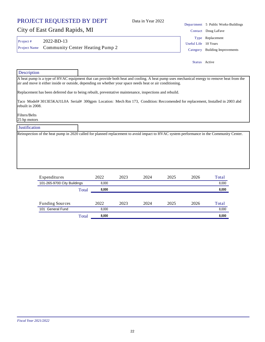## City of East Grand Rapids, MI

Project # 2022-BD-13

Useful Life 10 Years Type Replacement

Status Active

Project Name Community Center Heating Pump 2 Category Building Improvements

### **Description**

A heat pump is a type of HVAC equipment that can provide both heat and cooling. A heat pump uses mechanical energy to remove heat from the air and move it either inside or outside, depending on whether your space needs heat or air conditioning.

Replacement has been deferred due to being rebuilt, preventative maintenance, inspections and rebuild.

Taco Model# 3013E5KAJ1L0A Serial# 300gpm Location: Mech Rm 173, Condition: Reccomended for replacement, Installed in 2003 abd rebuilt in 2008.

Filters/Belts 25 hp motors

### **Justification**

Reinspection of the heat pump in 2020 called for planned replacement to avoid impact to HVAC system performance in the Community Center.

| Expenditures                |       | 2022  | 2023 | 2024 | 2025 | 2026 | Total |
|-----------------------------|-------|-------|------|------|------|------|-------|
| 101-265-9700 City Buildings |       | 8.000 |      |      |      |      | 8,000 |
|                             | Total | 8.000 |      |      |      |      | 8,000 |
|                             |       |       |      |      |      |      |       |
| <b>Funding Sources</b>      |       | 2022  | 2023 | 2024 | 2025 | 2026 | Total |
| <b>General Fund</b><br>101  |       | 8.000 |      |      |      |      | 8,000 |
|                             | Total | 8.000 |      |      |      |      | 8,000 |

Department 5 Public Works-Buildings Data in Year 2022

Contact Doug LaFave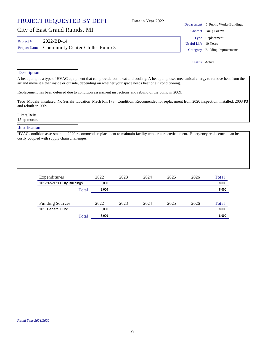## *Fiscal Year 2021/2022*

### PROJECT REQUESTED BY DEPT

## City of East Grand Rapids, MI

Project # 2022-BD-14 Project Name Community Center Chiller Pump 3 Category Building Improvements

**Description** 

A heat pump is a type of HVAC equipment that can provide both heat and cooling. A heat pump uses mechanical energy to remove heat from the air and move it either inside or outside, depending on whether your space needs heat or air conditioning.

Replacement has been deferred due to condition assessment inspections and rebuild of the pump in 2009.

Taco Model# insulated No Serial# Location Mech Rm 173. Condition: Reccomended for replacement from 2020 inspection. Installed: 2003 P3 and rebuilt in 2009.

Filters/Belts 15 hp motors

### **Justification**

HVAC condition assessment in 2020 recommends replacement to maintain facility temperature environment. Emergency replacement can be costly coupled with supply chain challenges.

| Expenditures                |       | 2022  | 2023 | 2024 | 2025 | 2026 | Total |
|-----------------------------|-------|-------|------|------|------|------|-------|
| 101-265-9700 City Buildings |       | 8.000 |      |      |      |      | 8,000 |
|                             | Total | 8.000 |      |      |      |      | 8,000 |
|                             |       |       |      |      |      |      |       |
| <b>Funding Sources</b>      |       | 2022  | 2023 | 2024 | 2025 | 2026 | Total |
| General Fund<br>101         |       | 8.000 |      |      |      |      | 8.000 |
|                             | Total | 8.000 |      |      |      |      | 8,000 |

Department 5 Public Works-Buildings Contact Doug LaFave Useful Life 10 Years Type Replacement

Status Active

Data in Year 2022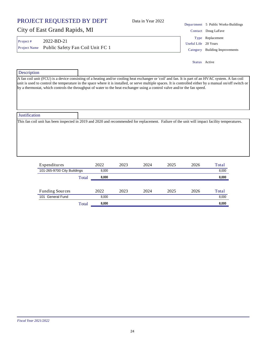### PROJECT REQUESTED BY DEPT City of East Grand Rapids, MI Department 5 Public Works-Buildings Data in Year 2022 Contact Doug LaFave Project # 2022-BD-21 Useful Life 20 Years Project Name Public Safety Fan Coil Unit FC 1 Category Building Improvements Type Replacement Status Active

| Description          |                                                                                                                                                                                                                                                                                                                                                                                                                                                |
|----------------------|------------------------------------------------------------------------------------------------------------------------------------------------------------------------------------------------------------------------------------------------------------------------------------------------------------------------------------------------------------------------------------------------------------------------------------------------|
|                      | A fan coil unit (FCU) is a device consisting of a heating and/or cooling heat exchanger or 'coil' and fan. It is part of an HVAC system. A fan coil<br>unit is used to control the temperature in the space where it is installed, or serve multiple spaces. It is controlled either by a manual on/off switch or<br>by a thermostat, which controls the throughput of water to the heat exchanger using a control valve and/or the fan speed. |
| <b>Justification</b> |                                                                                                                                                                                                                                                                                                                                                                                                                                                |
|                      | This fan coil unit has been inspected in 2019 and 2020 and recommended for replacement. Failure of the unit will impact facility temperatures.                                                                                                                                                                                                                                                                                                 |

| Expenditures                |       | 2022  | 2023 | 2024 | 2025 | 2026 | Total |
|-----------------------------|-------|-------|------|------|------|------|-------|
| 101-265-9700 City Buildings |       | 8.000 |      |      |      |      | 8,000 |
|                             | Total | 8.000 |      |      |      |      | 8,000 |
|                             |       |       |      |      |      |      |       |
| <b>Funding Sources</b>      |       | 2022  | 2023 | 2024 | 2025 | 2026 | Total |
| 101 General Fund            |       | 8.000 |      |      |      |      | 8,000 |
|                             | Total | 8.000 |      |      |      |      | 8,000 |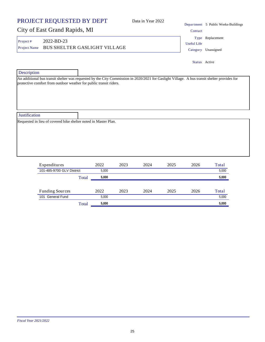|                      | PROJECT REQUESTED BY DEPT                                       |       |      | Data in Year 2022 |                                |         | Department 5 Public Works-Buildings |
|----------------------|-----------------------------------------------------------------|-------|------|-------------------|--------------------------------|---------|-------------------------------------|
|                      | City of East Grand Rapids, MI                                   |       |      |                   |                                | Contact |                                     |
| Project#             | 2022-BD-23                                                      |       |      |                   |                                |         | Type Replacement                    |
| Project Name         | <b>BUS SHELTER GASLIGHT VILLAGE</b>                             |       |      |                   | <b>Useful Life</b><br>Category |         | Unassigned                          |
|                      |                                                                 |       |      |                   |                                |         | Status Active                       |
| Description          |                                                                 |       |      |                   |                                |         |                                     |
|                      |                                                                 |       |      |                   |                                |         |                                     |
| <b>Justification</b> |                                                                 |       |      |                   |                                |         |                                     |
|                      | Requested in lieu of covered bike shelter noted in Master Plan. |       |      |                   |                                |         |                                     |
|                      | Expenditures                                                    | 2022  | 2023 | 2024              | 2025                           | 2026    | Total                               |
|                      | 101-485-9700 GLV District                                       | 5,000 |      |                   |                                |         | 5,000                               |

|                        | Total | 5,000 |      |      |      |      | 5,000 |
|------------------------|-------|-------|------|------|------|------|-------|
|                        |       |       |      |      |      |      |       |
| <b>Funding Sources</b> |       | 2022  | 2023 | 2024 | 2025 | 2026 | Total |
| 101 General Fund       |       | 5.000 |      |      |      |      | 5,000 |
|                        | Total | 5,000 |      |      |      |      | 5,000 |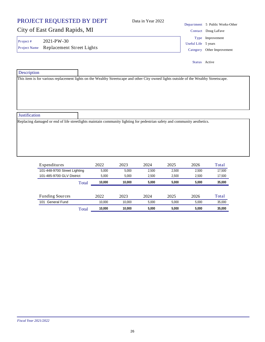|                          | PROJECT REQUESTED BY DEPT                                                                                                              | Data in Year 2022 |  | Department 5 Public Works-Other                                          |
|--------------------------|----------------------------------------------------------------------------------------------------------------------------------------|-------------------|--|--------------------------------------------------------------------------|
|                          | City of East Grand Rapids, MI                                                                                                          |                   |  | Contact Doug LaFave                                                      |
| Project#<br>Project Name | 2021-PW-30<br>Replacement Street Lights                                                                                                |                   |  | Type Improvement<br>Useful Life 5 years<br>Other Improvement<br>Category |
|                          |                                                                                                                                        |                   |  | Status Active                                                            |
| Description              |                                                                                                                                        |                   |  |                                                                          |
|                          | This item is for various replacement lights on the Wealthy Streetscape and other City owned lights outside of the Wealthy Streetscape. |                   |  |                                                                          |
| Justification            |                                                                                                                                        |                   |  |                                                                          |
|                          | Replacing damaged or end of life streetlights maintain community lighting for pedestrian safety and community aesthetics.              |                   |  |                                                                          |

| Expenditures                 |       | 2022   | 2023   | 2024  | 2025  | 2026  | Total  |
|------------------------------|-------|--------|--------|-------|-------|-------|--------|
| 101-448-9700 Street Lighting |       | 5.000  | 5.000  | 2.500 | 2.500 | 2.500 | 17,500 |
| 101-485-9700 GLV District    |       | 5.000  | 5.000  | 2.500 | 2.500 | 2.500 | 17,500 |
|                              | Total | 10.000 | 10.000 | 5.000 | 5.000 | 5.000 | 35,000 |
|                              |       |        |        |       |       |       |        |
| <b>Funding Sources</b>       |       | 2022   | 2023   | 2024  | 2025  | 2026  | Total  |
| General Fund<br>101          |       | 10.000 | 10.000 | 5.000 | 5.000 | 5.000 | 35,000 |
|                              | Total | 10.000 | 10.000 | 5.000 | 5.000 | 5.000 | 35.000 |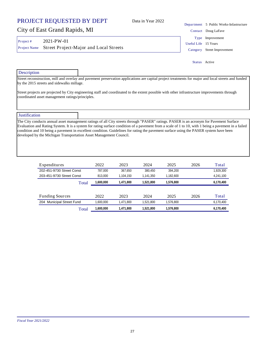### *Fiscal Year 2021/2022*

### PROJECT REQUESTED BY DEPT

## City of East Grand Rapids, MI

| Project # | $2021-PW-01$                                        |
|-----------|-----------------------------------------------------|
|           | Project Name Street Project-Major and Local Streets |

Department 5 Public Works-Infastructure Contact Doug LaFave Useful Life 15 Years Category Street Improvement Type Improvement

Status Active

### Description

Street reconstruction, mill and overlay and pavement preservation applications are capital project treatments for major and local streets and funded by the 2015 streets and sidewalks millage.

Data in Year 2022

Street projects are projected by City engineering staff and coordinated to the extent possible with other infrastructure improvements through coordinated asset management ratings/principles.

### **Justification**

The City conducts annual asset management ratings of all City streets through "PASER" ratings. PASER is an acronym for Pavement Surface Evaluation and Rating System. It is a system for rating surface condition of a pavement from a scale of 1 to 10, with 1 being a pavement in a failed condition and 10 being a pavement in excellent condition. Guidelines for rating the pavement surface using the PASER system have been developed by the Michigan Transportation Asset Management Council.

| Expenditures              | 2022      | 2023      | 2024      | 2025      | 2026 | Total     |
|---------------------------|-----------|-----------|-----------|-----------|------|-----------|
| 202-451-9730 Street Const | 787.000   | 367.650   | 380.450   | 394.200   |      | 1,929,300 |
| 203-451-9730 Street Const | 813.000   | 1.104.150 | 1.141.350 | 1.182.600 |      | 4,241,100 |
| Total                     | 1,600,000 | 1,471,800 | 1,521,800 | 1.576.800 |      | 6,170,400 |
|                           |           |           |           |           |      |           |
| <b>Funding Sources</b>    | 2022      | 2023      | 2024      | 2025      | 2026 | Total     |
| 204 Municipal Street Fund | 1.600.000 | 1.471.800 | 1.521.800 | 1.576.800 |      | 6.170.400 |

Total **1,600,000 1,471,800 1,521,800 1,576,800 6,170,400**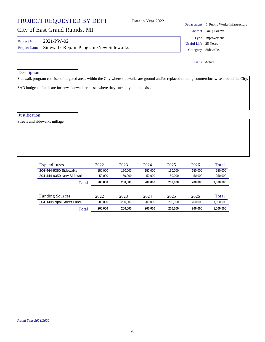### PROJECT REQUESTED BY DEPT City of East Grand Rapids, MI Department 5 Public Works-Infastructure Data in Year 2022 Contact Doug LaFave Project # 2021-PW-02 Useful Life 25 Years Project Name Sidewalk Repair Program/New Sidewalks Category Sidewalks Type Improvement

| Description                    |                                                                                                                                                   |
|--------------------------------|---------------------------------------------------------------------------------------------------------------------------------------------------|
|                                | Sidewalk program consists of targeted areas within the City where sidewalks are ground and/or replaced rotating counterclockwise around the City. |
|                                | SAD budgeted funds are for new sidewalk requests where they currently do not exist.                                                               |
|                                |                                                                                                                                                   |
|                                |                                                                                                                                                   |
|                                |                                                                                                                                                   |
| Justification                  |                                                                                                                                                   |
| Streets and sidewalks millage. |                                                                                                                                                   |
|                                |                                                                                                                                                   |
|                                |                                                                                                                                                   |
|                                |                                                                                                                                                   |
|                                |                                                                                                                                                   |
|                                |                                                                                                                                                   |

Status Active

| Expenditures              | 2022    | 2023    | 2024    | 2025    | 2026    | Total     |
|---------------------------|---------|---------|---------|---------|---------|-----------|
| 204-444-9350 Sidewalks    | 150.000 | 150.000 | 150.000 | 150.000 | 150.000 | 750.000   |
| 204-444-9350 New Sidewalk | 50.000  | 50.000  | 50,000  | 50.000  | 50.000  | 250,000   |
| Total                     | 200.000 | 200.000 | 200.000 | 200.000 | 200.000 | 1,000,000 |
|                           |         |         |         |         |         |           |
| <b>Funding Sources</b>    | 2022    | 2023    | 2024    | 2025    | 2026    | Total     |
| 204 Municipal Street Fund | 200.000 | 200.000 | 200.000 | 200.000 | 200.000 | 1,000,000 |
| Total                     | 200.000 | 200.000 | 200.000 | 200.000 | 200.000 | 1.000.000 |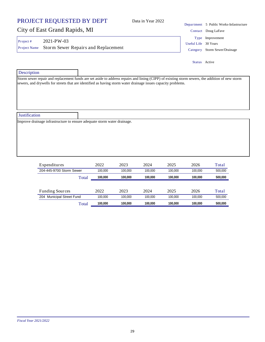### PROJECT REQUESTED BY DEPT Data in Year 2022

## City of East Grand Rapids, MI

Project # 2021-PW-03 Project Name Storm Sewer Repairs and Replacement Category Storm Sewer/Drainage

Department 5 Public Works-Infastructure Contact Doug LaFave Useful Life 30 Years Type Improvement

Status Active

| Description                                                              |                                                                                                                                                                                                                                                                  |
|--------------------------------------------------------------------------|------------------------------------------------------------------------------------------------------------------------------------------------------------------------------------------------------------------------------------------------------------------|
|                                                                          | Storm sewer repair and replacement funds are set aside to address repairs and lining (CIPP) of existing storm sewers, the addition of new storm<br>sewers, and drywells for streets that are identified as having storm water drainage issues capacity problems. |
| Justification                                                            |                                                                                                                                                                                                                                                                  |
| Improve drainage infrastructure to ensure adequate storm water drainage. |                                                                                                                                                                                                                                                                  |
|                                                                          |                                                                                                                                                                                                                                                                  |

| Expenditures              |       | 2022    | 2023    | 2024    | 2025    | 2026    | Total   |
|---------------------------|-------|---------|---------|---------|---------|---------|---------|
| 204-445-9700 Storm Sewer  |       | 100.000 | 100.000 | 100.000 | 100.000 | 100.000 | 500.000 |
|                           | Total | 100.000 | 100.000 | 100.000 | 100.000 | 100.000 | 500.000 |
|                           |       |         |         |         |         |         |         |
| <b>Funding Sources</b>    |       | 2022    | 2023    | 2024    | 2025    | 2026    | Total   |
| 204 Municipal Street Fund |       | 100.000 | 100.000 | 100.000 | 100.000 | 100.000 | 500.000 |
|                           | Total | 100.000 | 100.000 | 100.000 | 100.000 | 100.000 | 500.000 |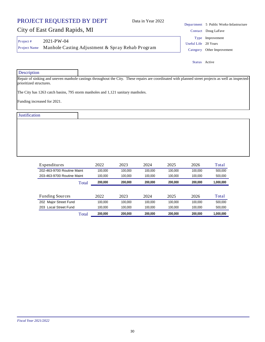## City of East Grand Rapids, MI

Project # 2021-PW-04 Project Name Manhole Casting Adjustment & Spray Rehab Program Category Other Improvement

Useful Life 20 Years Type Improvement

Status Active

**Description** 

Repair of sinking and uneven manhole castings throughout the City. These repairs are coordinated with planned street projects as well as inspectedprioritized structures.

The City has 1263 catch basins, 795 storm manholes and 1,121 sanitary manholes.

Funding increased for 2021.

**Justification** 

| Expenditures               |       | 2022    | 2023    | 2024    | 2025    | 2026    | Total     |
|----------------------------|-------|---------|---------|---------|---------|---------|-----------|
| 202-463-9700 Routine Maint |       | 100.000 | 100.000 | 100.000 | 100.000 | 100.000 | 500.000   |
| 203-463-9700 Routine Maint |       | 100.000 | 100.000 | 100.000 | 100.000 | 100.000 | 500,000   |
|                            | Total | 200,000 | 200.000 | 200.000 | 200.000 | 200.000 | 1,000,000 |
|                            |       |         |         |         |         |         |           |
| <b>Funding Sources</b>     |       | 2022    | 2023    | 2024    | 2025    | 2026    | Total     |
| 202 Major Street Fund      |       | 100.000 | 100.000 | 100.000 | 100.000 | 100.000 | 500.000   |
| 203 Local Street Fund      |       | 100.000 | 100.000 | 100.000 | 100.000 | 100.000 | 500.000   |
|                            | Total | 200,000 | 200.000 | 200.000 | 200.000 | 200.000 | 1.000.000 |

Department 5 Public Works-Infastructure Data in Year 2022

Contact Doug LaFave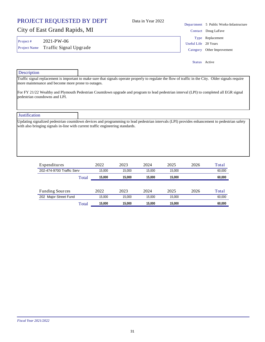## City of East Grand Rapids, MI

Project # 2021-PW-06 Project Name Traffic Signal Upgrade Category Other Improvement

**Description** 

Traffic signal replacement is important to make sure that signals operate properly to regulate the flow of traffic in the City. Older signals require more maintenance and become more prone to outages. For FY 21/22 Wealthy and Plymouth Pedestrian Countdown upgrade and program to lead pedestrian interval (LPI) to completed all EGR signal pedestrian coundowns and LPI.

**Justification** Updating signalized pedestrian countdown devices and programming to lead pedestrian intervals (LPI) provides enhancement to pedestrian safety with also bringing signals in-line with current traffic engineering standards.

| Expenditures              |       | 2022   | 2023   | 2024   | 2025   | 2026 | Total  |
|---------------------------|-------|--------|--------|--------|--------|------|--------|
| 202-474-9700 Traffic Serv |       | 15.000 | 15.000 | 15.000 | 15.000 |      | 60,000 |
|                           | Total | 15,000 | 15.000 | 15.000 | 15.000 |      | 60,000 |
|                           |       |        |        |        |        |      |        |
| <b>Funding Sources</b>    |       | 2022   | 2023   | 2024   | 2025   | 2026 | Total  |
| 202 Major Street Fund     |       | 15.000 | 15.000 | 15.000 | 15.000 |      | 60.000 |
|                           | Total | 15.000 | 15.000 | 15.000 | 15.000 |      | 60.000 |

31

## Data in Year 2022

Department 5 Public Works-Infastructure Contact Doug LaFave Useful Life 20 Years Type Replacement

Status Active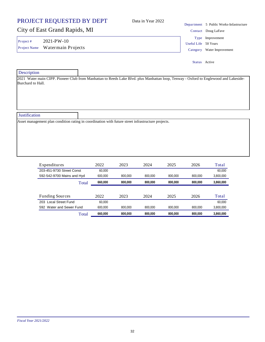### PROJECT REQUESTED BY DEPT City of East Grand Rapids, MI Department 5 Public Works-Infastructure Data in Year 2022 Contact Doug LaFave **Description** 2021 Water main CIPP. Pioneer Club from Manhattan to Reeds Lake Blvd. plus Manhattan loop, Tenway - Oxford to Englewood and Lakeside-Burchard to Hall. Project # 2021-PW-10 Useful Life 50 Years Project Name Watermain Projects Category Water Improvement Type Improvement Status Active

Justification

Asset management plan condition rating in coordination with future street infrastructure projects.

| Expenditures               | 2022    | 2023    | 2024    | 2025    | 2026    | Total     |
|----------------------------|---------|---------|---------|---------|---------|-----------|
| 203-451-9730 Street Const  | 60.000  |         |         |         |         | 60.000    |
| 592-542-9700 Mains and Hyd | 600.000 | 800.000 | 800.000 | 800.000 | 800.000 | 3,800,000 |
| Total                      | 660.000 | 800.000 | 800.000 | 800.000 | 800.000 | 3.860.000 |
|                            |         |         |         |         |         |           |
| <b>Funding Sources</b>     | 2022    | 2023    | 2024    | 2025    | 2026    | Total     |
| 203 Local Street Fund      | 60.000  |         |         |         |         | 60.000    |
| 592 Water and Sewer Fund   | 600.000 | 800.000 | 800.000 | 800.000 | 800.000 | 3,800,000 |
| Total                      | 660.000 | 800.000 | 800.000 | 800.000 | 800.000 | 3.860.000 |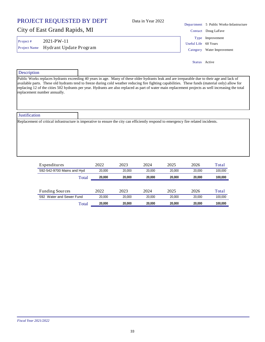Data in Year 2022

## City of East Grand Rapids, MI

Project # 2021-PW-11 Project Name Hydrant Update Program Category Water Improvement

Department 5 Public Works-Infastructure Contact Doug LaFave Useful Life 60 Years Type Improvement

Status Active

# **Description** Public Works replaces hydrants exceeding 40 years in age. Many of these older hydrants leak and are irreparable due to their age and lack of available parts. These old hydrants tend to freeze during cold weather reducing fire fighting capabilities. These funds (material only) allow for replacing 12 of the cities 502 hydrants per year. Hydrants are also replaced as part of water main replacement projects as well increasing the total replacement number annually. **Justification** Replacement of critical infrastructure is imperative to ensure the city can efficiently respond to emergency fire related incidents.

| Expenditures               |       | 2022   | 2023   | 2024   | 2025   | 2026   | Total   |
|----------------------------|-------|--------|--------|--------|--------|--------|---------|
| 592-542-9700 Mains and Hyd |       | 20.000 | 20.000 | 20,000 | 20.000 | 20.000 | 100.000 |
|                            | Total | 20.000 | 20,000 | 20.000 | 20.000 | 20.000 | 100.000 |
|                            |       |        |        |        |        |        |         |
| <b>Funding Sources</b>     |       | 2022   | 2023   | 2024   | 2025   | 2026   | Total   |
| 592 Water and Sewer Fund   |       | 20.000 | 20.000 | 20,000 | 20.000 | 20.000 | 100.000 |
|                            | Total | 20.000 | 20.000 | 20,000 | 20.000 | 20.000 | 100.000 |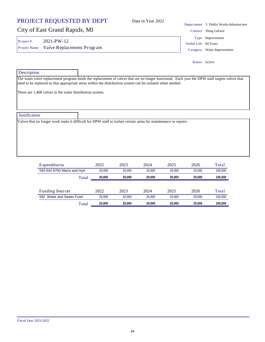34

### *Fiscal Year 2021/2022*

## Data in Year 2022

## City of East Grand Rapids, MI

Project # 2021-PW-12 Project Name Valve Replacement Program Category Water Improvement

Department 5 Public Works-Infastructure Contact Doug LaFave Useful Life 60 Years Type Improvement

Status Active

| Description                                              |                                                                                                                                                                                                                                                             |
|----------------------------------------------------------|-------------------------------------------------------------------------------------------------------------------------------------------------------------------------------------------------------------------------------------------------------------|
|                                                          | The water valve replacement program funds the replacement of valves that are no longer functional. Each year the DPW staff targets valves that<br>need to be replaced so that appropriate areas within the distribution system can be isolated when needed. |
| There are 1,468 valves in the water distribution system. |                                                                                                                                                                                                                                                             |
|                                                          |                                                                                                                                                                                                                                                             |
|                                                          |                                                                                                                                                                                                                                                             |
| <b>Justification</b>                                     |                                                                                                                                                                                                                                                             |
|                                                          | Valves that no longer work make it difficult for DPW staff to isolate certain areas for maintenance or repairs.                                                                                                                                             |
|                                                          |                                                                                                                                                                                                                                                             |
|                                                          |                                                                                                                                                                                                                                                             |
|                                                          |                                                                                                                                                                                                                                                             |
|                                                          |                                                                                                                                                                                                                                                             |
|                                                          |                                                                                                                                                                                                                                                             |

| Expenditures               | 2022   | 2023   | 2024   | 2025   | 2026   | Total   |
|----------------------------|--------|--------|--------|--------|--------|---------|
| 592-542-9700 Mains and Hyd | 20.000 | 20.000 | 20.000 | 20.000 | 20.000 | 100.000 |
| Total                      | 20.000 | 20.000 | 20.000 | 20.000 | 20.000 | 100.000 |
|                            |        |        |        |        |        |         |
| <b>Funding Sources</b>     | 2022   | 2023   | 2024   | 2025   | 2026   | Total   |
| 592 Water and Sewer Fund   | 20.000 | 20,000 | 20.000 | 20.000 | 20.000 | 100.000 |
| Total                      |        |        |        | 20.000 | 20.000 | 100.000 |

## PROJECT REQUESTED BY DEPT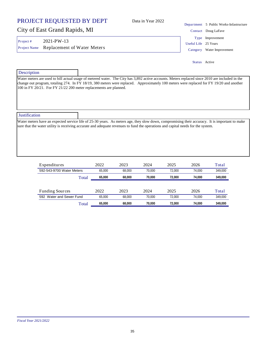### PROJECT REQUESTED BY DEPT City of East Grand Rapids, MI Department 5 Public Works-Infastructure Data in Year 2022 Contact Doug LaFave Project # 2021-PW-13 Useful Life 25 Years Type Improvement

Project Name Replacement of Water Meters Category Water Improvement

Status Active

**Description** 

Water meters are used to bill actual usage of metered water. The City has 3,892 active accounts. Meters replaced since 2010 are included in the change out program, totaling 274. In FY 18/19, 380 meters were replaced. Approximately 100 meters were replaced for FY 19/20 and another 100 in FY 20/21. For FY 21/22 200 meter replacements are planned.

| <b>Justification</b> |                                                                                                                                                                                                                                                                                    |
|----------------------|------------------------------------------------------------------------------------------------------------------------------------------------------------------------------------------------------------------------------------------------------------------------------------|
|                      | Water meters have an expected service life of 25-30 years. As meters age, they slow down, compromising their accuracy. It is important to make<br>sure that the water utility is receiving accurate and adequate revenues to fund the operations and capital needs for the system. |
|                      |                                                                                                                                                                                                                                                                                    |

| Expenditures              |       | 2022   | 2023   | 2024   | 2025   | 2026   | Total   |
|---------------------------|-------|--------|--------|--------|--------|--------|---------|
| 592-543-9700 Water Meters |       | 65.000 | 68.000 | 70.000 | 72.000 | 74.000 | 349.000 |
|                           | Total | 65,000 | 68.000 | 70.000 | 72.000 | 74.000 | 349,000 |
|                           |       |        |        |        |        |        |         |
| <b>Funding Sources</b>    |       | 2022   | 2023   | 2024   | 2025   | 2026   | Total   |
| 592 Water and Sewer Fund  |       | 65.000 | 68.000 | 70.000 | 72.000 | 74.000 | 349.000 |
|                           | Total | 65.000 | 68.000 | 70.000 | 72.000 | 74.000 | 349.000 |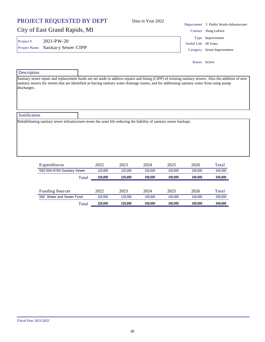## *Fiscal Year 2021/2022*

| PROJECT REQUESTED BY DEPT |
|---------------------------|
|---------------------------|

## City of East Grand Rapids, MI

Project # 2021-PW-20

Project Name Sanitary Sewer CIPP Category Sewer Improvement

### **Description**

Sanitary sewer repair and replacement funds are set aside to address repairs and lining (CIPP) of existing sanitary sewers. Also the addition of new sanitary sewers for streets that are identified as having sanitary water drainage issues, and for addressing sanitary water from sump pump discharges.

Justification

Rehabilitating sanitary sewer infrastructure resets the asset life reducing the liability of sanitary sewer backups.

| Expenditures                | 2022    | 2023    | 2024    | 2025    | 2026    | Total   |
|-----------------------------|---------|---------|---------|---------|---------|---------|
| 592-550-9700 Sanitary Sewer | 120.000 | 125.000 | 100.000 | 100.000 | 100.000 | 545.000 |
| Total                       | 120.000 | 125.000 | 100.000 | 100.000 | 100.000 | 545,000 |
|                             |         |         |         |         |         |         |
| <b>Funding Sources</b>      | 2022    | 2023    | 2024    | 2025    | 2026    | Total   |
| 592 Water and Sewer Fund    | 120.000 | 125.000 | 100.000 | 100.000 | 100.000 | 545.000 |
| Total                       | 120.000 | 125.000 | 100.000 | 100.000 | 100.000 | 545.000 |

Data in Year 2022

Department 5 Public Works-Infastructure Contact Doug LaFave Useful Life 40 Years Type Improvement

Status Active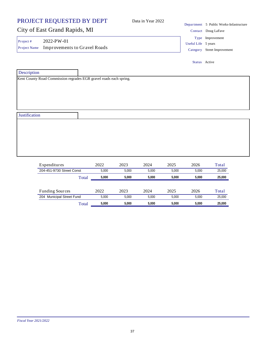|                          | PROJECT REQUESTED BY DEPT                         |       |       | Data in Year 2022 |       |                     | Department 5 Public Works-Infastructure         |
|--------------------------|---------------------------------------------------|-------|-------|-------------------|-------|---------------------|-------------------------------------------------|
|                          | City of East Grand Rapids, MI                     |       |       |                   |       |                     | Contact Doug LaFave                             |
| Project#<br>Project Name | 2022-PW-01<br><b>Improvements to Gravel Roads</b> |       |       |                   |       | Useful Life 5 years | Type Improvement<br>Category Street Improvement |
|                          |                                                   |       |       |                   |       | Status Active       |                                                 |
| Description              |                                                   |       |       |                   |       |                     |                                                 |
|                          |                                                   |       |       |                   |       |                     |                                                 |
| Justification            |                                                   |       |       |                   |       |                     |                                                 |
|                          |                                                   |       |       |                   |       |                     |                                                 |
|                          |                                                   |       |       |                   |       |                     |                                                 |
|                          |                                                   |       |       |                   |       |                     |                                                 |
|                          | Expenditures                                      | 2022  | 2023  | 2024              | 2025  | 2026                | Total                                           |
|                          | 204-451-9730 Street Const                         | 5,000 | 5,000 | 5,000             | 5,000 | 5,000               | 25,000                                          |

| Total                     | 5.000 | 5.000 | 5.000 | 5.000 | 5.000 | 25,000 |
|---------------------------|-------|-------|-------|-------|-------|--------|
|                           |       |       |       |       |       |        |
| <b>Funding Sources</b>    | 2022  | 2023  | 2024  | 2025  | 2026  | Total  |
| 204 Municipal Street Fund | 5.000 | 5.000 | 5.000 | 5.000 | 5.000 | 25,000 |
| Total                     | 5.000 | 5.000 | 5.000 | 5.000 | 5.000 | 25,000 |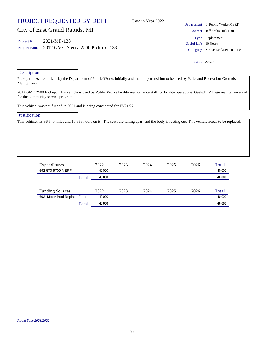## City of East Grand Rapids, MI

Project # 2021-MP-128 Project Name 2012 GMC Sierra 2500 Pickup #128 Category MERF Replacement - PW

Type Replacement

Useful Life 10 Years

Status Active

# **Description** Pickup trucks are utilized by the Department of Public Works initially and then they transition to be used by Parks and Recreation-Grounds Maintenance. 2012 GMC 2500 Pickup. This vehicle is used by Public Works facility maintenance staff for facility operations, Gaslight Village maintenance and for the community service program. This vehicle was not funded in 2021 and is being considered for FY21/22 **Justification** This vehicle has 96,540 miles and 10,656 hours on it. The seats are falling apart and the body is rusting out. This vehicle needs to be replaced.

| Expenditures                |       | 2022   | 2023 | 2024 | 2025 | 2026 | Total  |
|-----------------------------|-------|--------|------|------|------|------|--------|
| 692-570-9700 MERF           |       | 40.000 |      |      |      |      | 40,000 |
|                             | Total | 40,000 |      |      |      |      | 40,000 |
|                             |       |        |      |      |      |      |        |
| <b>Funding Sources</b>      |       | 2022   | 2023 | 2024 | 2025 | 2026 | Total  |
| 692 Motor Pool Replace Fund |       | 40,000 |      |      |      |      | 40,000 |
|                             | Total | 40.000 |      |      |      |      | 40.000 |

Department 6 Public Works-MERF

Contact Jeff Stults/Rick Barr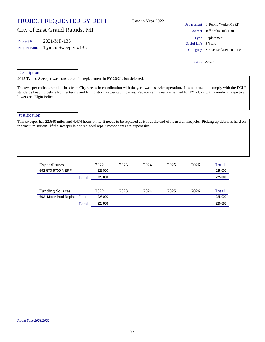Data in Year 2022

## City of East Grand Rapids, MI

Project # 2021-MP-135

Department 6 Public Works-MERF Contact Jeff Stults/Rick Barr Useful Life 8 Years Project Name Tymco Sweeper #135 Category MERF Replacement - PW Type Replacement

Status Active

| Description                    |                                                                                                                                                                                                                                                                                                    |
|--------------------------------|----------------------------------------------------------------------------------------------------------------------------------------------------------------------------------------------------------------------------------------------------------------------------------------------------|
|                                | $2013$ Tymco Sweeper was considered for replacement in FY $20/21$ , but deferred.                                                                                                                                                                                                                  |
| lower cost Elgin Pelican unit. | The sweeper collects small debris from City streets in coordination with the yard waste service operation. It is also used to comply with the EGLE<br>standards keeping debris from entering and filling storm sewer catch basins. Repacement is recommended for FY 21/22 with a model change to a |
| <b>Justification</b>           |                                                                                                                                                                                                                                                                                                    |
|                                | This sweeper has 22,640 miles and 4,434 hours on it. It needs to be replaced as it is at the end of its useful lifecycle. Picking up debris is hard on<br>the vacuum system. If the sweeper is not replaced repair components are expensive.                                                       |
|                                |                                                                                                                                                                                                                                                                                                    |
|                                |                                                                                                                                                                                                                                                                                                    |
|                                |                                                                                                                                                                                                                                                                                                    |

| Expenditures                |       | 2022    | 2023 | 2024 | 2025 | 2026 | Total   |
|-----------------------------|-------|---------|------|------|------|------|---------|
| 692-570-9700 MERF           |       | 225,000 |      |      |      |      | 225,000 |
|                             | Total | 225,000 |      |      |      |      | 225,000 |
|                             |       |         |      |      |      |      |         |
| <b>Funding Sources</b>      |       | 2022    | 2023 | 2024 | 2025 | 2026 | Total   |
| 692 Motor Pool Replace Fund |       | 225.000 |      |      |      |      | 225.000 |
|                             | Total | 225,000 |      |      |      |      | 225,000 |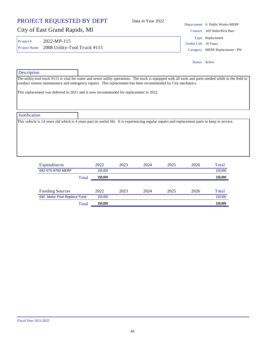**Justification** This vehicle is 14 years old which is 4 years past its useful life. It is experiencing regular repairs and replacement parts to keep in service. Expenditures 2022 2023 2024 2025 2026 Total **692-570-9700 MERF** 150,000 150,000 150,000 150,000 150,000 150,000 150,000 150,000 150,000 150,000 150,000 150,000 150,000 150,000 150,000 150,000 150,000 150,000 150,000 150,000 150,000 150,000 150,000 150,000 150,000 15

# **Description**

The utility-tool truck #115 is vital for water and sewer utility operations. The truck is equipped with all tools and parts needed while in the field to conduct routine maintenance and emergency repairs. This replacement has been recommended by City mechanics.

This replacement was deferred in 2021 and is now recommended for replacement in 2022.

## PROJECT REQUESTED BY DEPT

City of East Grand Rapids, MI

Project # 2022-MP-115 Project Name 2008 Utility-Tool Truck #115 Category MERF Replacement - PW

Useful Life 10 Years Type Replacement Status Active

Contact Jeff Stults/Rick Barr

| Expenditures                |       | 2022    | 2023 | 2024 | 2025 | 2026 | Total   |
|-----------------------------|-------|---------|------|------|------|------|---------|
| 692-570-9700 MERF           |       | 150.000 |      |      |      |      | 150,000 |
|                             | Total | 150.000 |      |      |      |      | 150.000 |
|                             |       |         |      |      |      |      |         |
| <b>Funding Sources</b>      |       | 2022    | 2023 | 2024 | 2025 | 2026 | Total   |
| 692 Motor Pool Replace Fund |       | 150.000 |      |      |      |      | 150.000 |
|                             | Total | 150,000 |      |      |      |      | 150.000 |

Department 6 Public Works-MERF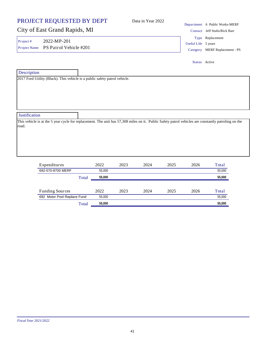| PROJECT REQUESTED BY DEPT                                                                                                                                    | Data in Year 2022 |                     | Department 6 Public Works-MERF                     |  |  |
|--------------------------------------------------------------------------------------------------------------------------------------------------------------|-------------------|---------------------|----------------------------------------------------|--|--|
| City of East Grand Rapids, MI                                                                                                                                |                   |                     | Contact Jeff Stults/Rick Barr                      |  |  |
| $2022-MP-201$<br>Project #<br>Project Name PS Patrol Vehicle #201                                                                                            |                   | Useful Life 5 years | Type Replacement<br>Category MERF Replacement - PS |  |  |
|                                                                                                                                                              |                   | Status Active       |                                                    |  |  |
| Description                                                                                                                                                  |                   |                     |                                                    |  |  |
| 2017 Ford Utility (Black). This vehicle is a public safety patrol vehicle.                                                                                   |                   |                     |                                                    |  |  |
| <b>Justification</b>                                                                                                                                         |                   |                     |                                                    |  |  |
| This vehicle is at the 5 year cycle for replacement. The unit has 57,308 miles on it. Public Safety patrol vehicles are constantly patroling on the<br>road. |                   |                     |                                                    |  |  |

| Expenditures                |       | 2022   | 2023 | 2024 | 2025 | 2026 | Total  |
|-----------------------------|-------|--------|------|------|------|------|--------|
| 692-570-9700 MERF           |       | 55,000 |      |      |      |      | 55,000 |
|                             | Total | 55,000 |      |      |      |      | 55,000 |
|                             |       |        |      |      |      |      |        |
| <b>Funding Sources</b>      |       | 2022   | 2023 | 2024 | 2025 | 2026 | Total  |
| 692 Motor Pool Replace Fund |       | 55,000 |      |      |      |      | 55,000 |
|                             | Total | 55,000 |      |      |      |      | 55,000 |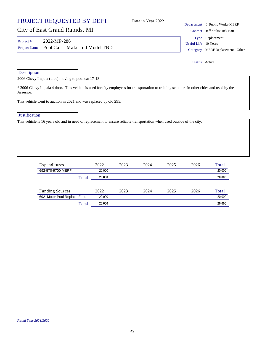## City of East Grand Rapids, MI

Project # 2022-MP-286 Project Name Pool Car - Make and Model TBD Category MERF Replacement - Other

Contact Jeff Stults/Rick Barr Useful Life 10 Years Type Replacement

Status Active

| Description                                                       |                                                                                                                                             |
|-------------------------------------------------------------------|---------------------------------------------------------------------------------------------------------------------------------------------|
| 2006 Chevy Impala (blue) moving to pool car 17-18                 |                                                                                                                                             |
| Assessor.                                                         | * 2006 Chevy Impala 4 door. This vehicle is used for city employees for transportation to training seminars in other cities and used by the |
| This vehicle went to auction in 2021 and was replaced by old 295. |                                                                                                                                             |
| <b>Justification</b>                                              |                                                                                                                                             |
|                                                                   | This vehicle is 16 years old and in need of replacement to ensure reliable transportation when used outside of the city.                    |
|                                                                   |                                                                                                                                             |
|                                                                   |                                                                                                                                             |
|                                                                   |                                                                                                                                             |
|                                                                   |                                                                                                                                             |

| Expenditures                | 2022   | 2023 | 2024 | 2025 | 2026 | Total  |
|-----------------------------|--------|------|------|------|------|--------|
| 692-570-9700 MERF           | 20.000 |      |      |      |      | 20,000 |
| Total                       | 20,000 |      |      |      |      | 20,000 |
|                             |        |      |      |      |      |        |
| <b>Funding Sources</b>      | 2022   | 2023 | 2024 | 2025 | 2026 | Total  |
| 692 Motor Pool Replace Fund | 20.000 |      |      |      |      | 20,000 |
| Total                       | 20,000 |      |      |      |      | 20,000 |

## Department 6 Public Works-MERF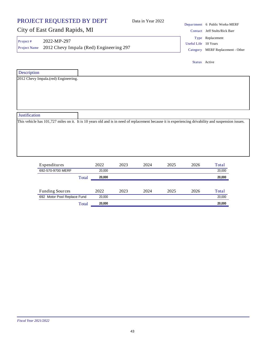|                               | PROJECT REQUESTED BY DEPT                              |        |      | Data in Year 2022 |      |                      | Department 6 Public Works-MERF                                                                                                                       |  |  |
|-------------------------------|--------------------------------------------------------|--------|------|-------------------|------|----------------------|------------------------------------------------------------------------------------------------------------------------------------------------------|--|--|
| City of East Grand Rapids, MI |                                                        |        |      |                   |      |                      | Contact Jeff Stults/Rick Barr                                                                                                                        |  |  |
| Project#<br>Project Name      | 2022-MP-297<br>2012 Chevy Impala (Red) Engineering 297 |        |      |                   |      | Useful Life 10 Years | Type Replacement<br>Category MERF Replacement - Other                                                                                                |  |  |
|                               |                                                        |        |      |                   |      | Status Active        |                                                                                                                                                      |  |  |
| Description                   |                                                        |        |      |                   |      |                      |                                                                                                                                                      |  |  |
|                               | 2012 Chevy Impala.(red) Engineering.                   |        |      |                   |      |                      |                                                                                                                                                      |  |  |
|                               |                                                        |        |      |                   |      |                      |                                                                                                                                                      |  |  |
|                               |                                                        |        |      |                   |      |                      |                                                                                                                                                      |  |  |
|                               |                                                        |        |      |                   |      |                      |                                                                                                                                                      |  |  |
|                               |                                                        |        |      |                   |      |                      |                                                                                                                                                      |  |  |
|                               |                                                        |        |      |                   |      |                      |                                                                                                                                                      |  |  |
|                               |                                                        |        |      |                   |      |                      |                                                                                                                                                      |  |  |
|                               |                                                        |        |      |                   |      |                      | This vehicle has 101,727 miles on it. It is 10 years old and is in need of replacement because it is experiencing drivability and suspension issues. |  |  |
|                               |                                                        |        |      |                   |      |                      |                                                                                                                                                      |  |  |
|                               |                                                        |        |      |                   |      |                      |                                                                                                                                                      |  |  |
|                               |                                                        |        |      |                   |      |                      |                                                                                                                                                      |  |  |
|                               |                                                        |        |      |                   |      |                      |                                                                                                                                                      |  |  |
|                               |                                                        |        |      |                   |      |                      |                                                                                                                                                      |  |  |
| Justification                 | Expenditures                                           | 2022   | 2023 | 2024              | 2025 | 2026                 | Total                                                                                                                                                |  |  |
|                               | 692-570-9700 MERF                                      | 20,000 |      |                   |      |                      | 20,000                                                                                                                                               |  |  |

| <b>Funding Sources</b>      | 2022   | 2023 | 2024 | 2025 | 2026 | $\tau_{\text{otal}}$ |
|-----------------------------|--------|------|------|------|------|----------------------|
| 692 Motor Pool Replace Fund | 20,000 |      |      |      |      | 20,000               |
| $\tau$ otal                 | 20,000 |      |      |      |      | 20.000               |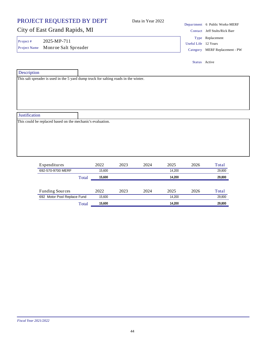### PROJECT REQUESTED BY DEPT City of East Grand Rapids, MI Department 6 Public Works-MERF Data in Year 2022 Contact Jeff Stults/Rick Barr **Description** This salt spreader is used in the 5 yard dump truck for salting roads in the winter. Project # 2025-MP-711 Useful Life 12 Years Project Name Monroe Salt Spreader Category MERF Replacement - PW Type Replacement Status Active

**Justification** 

This could be replaced based on the mechanic's evaluation.

| Expenditures                |       | 2022   | 2023 | 2024 | 2025   | 2026 | Total  |
|-----------------------------|-------|--------|------|------|--------|------|--------|
| 692-570-9700 MERF           |       | 15.600 |      |      | 14.200 |      | 29,800 |
|                             | Total | 15.600 |      |      | 14.200 |      | 29,800 |
|                             |       |        |      |      |        |      |        |
| <b>Funding Sources</b>      |       | 2022   | 2023 | 2024 | 2025   | 2026 | Total  |
| 692 Motor Pool Replace Fund |       | 15,600 |      |      | 14.200 |      | 29,800 |
|                             | Total | 15.600 |      |      | 14.200 |      | 29,800 |